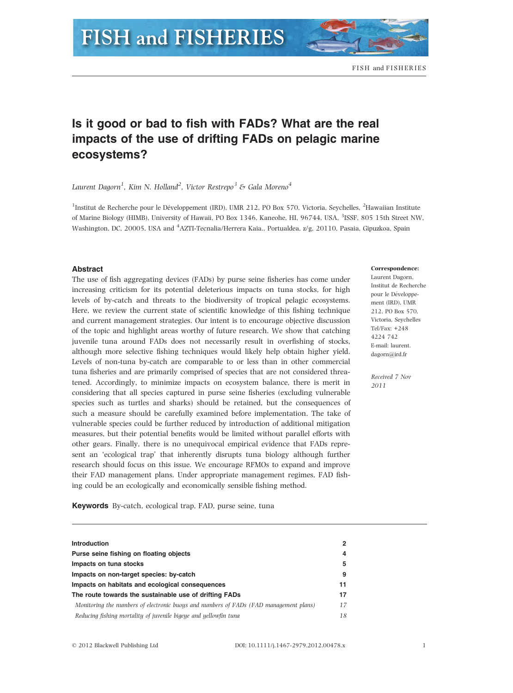# Is it good or bad to fish with FADs? What are the real impacts of the use of drifting FADs on pelagic marine ecosystems?

Laurent Dagorn $^1$ , Kim N. Holland $^2$ , Victor Restrepo $^3$  & Gala Moreno $^4$ 

<sup>1</sup>Institut de Recherche pour le Développement (IRD), UMR 212, PO Box 570, Victoria, Seychelles, <sup>2</sup>Hawaiian Institute of Marine Biology (HIMB), University of Hawaii, PO Box 1346, Kaneohe, HI, 96744, USA, <sup>3</sup>ISSF, 805 15th Street NW, Washington, DC, 20005, USA and <sup>4</sup>AZTI-Tecnalia/Herrera Kaia., Portualdea, z/g, 20110, Pasaia, Gipuzkoa, Spain

# **Abstract**

The use of fish aggregating devices (FADs) by purse seine fisheries has come under increasing criticism for its potential deleterious impacts on tuna stocks, for high levels of by-catch and threats to the biodiversity of tropical pelagic ecosystems. Here, we review the current state of scientific knowledge of this fishing technique and current management strategies. Our intent is to encourage objective discussion of the topic and highlight areas worthy of future research. We show that catching juvenile tuna around FADs does not necessarily result in overfishing of stocks, although more selective fishing techniques would likely help obtain higher yield. Levels of non-tuna by-catch are comparable to or less than in other commercial tuna fisheries and are primarily comprised of species that are not considered threatened. Accordingly, to minimize impacts on ecosystem balance, there is merit in considering that all species captured in purse seine fisheries (excluding vulnerable species such as turtles and sharks) should be retained, but the consequences of such a measure should be carefully examined before implementation. The take of vulnerable species could be further reduced by introduction of additional mitigation measures, but their potential benefits would be limited without parallel efforts with other gears. Finally, there is no unequivocal empirical evidence that FADs represent an 'ecological trap' that inherently disrupts tuna biology although further research should focus on this issue. We encourage RFMOs to expand and improve their FAD management plans. Under appropriate management regimes, FAD fishing could be an ecologically and economically sensible fishing method.

Keywords By-catch, ecological trap, FAD, purse seine, tuna

| <b>Introduction</b>                                                                   | 2  |
|---------------------------------------------------------------------------------------|----|
| Purse seine fishing on floating objects                                               | 4  |
| Impacts on tuna stocks                                                                | 5  |
| Impacts on non-target species: by-catch                                               | 9  |
| Impacts on habitats and ecological consequences                                       | 11 |
| The route towards the sustainable use of drifting FADs                                | 17 |
| Monitoring the numbers of electronic buoys and numbers of FADs (FAD management plans) | 17 |
| Reducing fishing mortality of juvenile bigeye and yellowfin tuna                      | 18 |

#### Correspondence:

Laurent Dagorn, Institut de Recherche pour le Développement (IRD), UMR 212, PO Box 570, Victoria, Seychelles Tel/Fax: +248 4224 742 E-mail: laurent. dagorn@ird.fr

Received 7 Nov 2011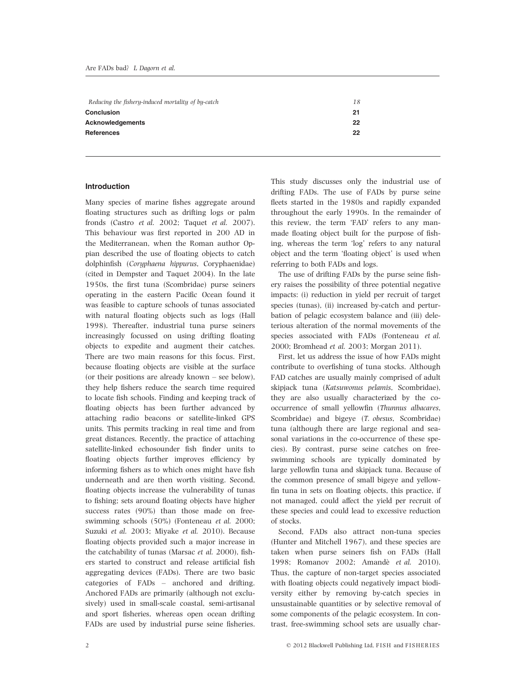| Reducing the fishery-induced mortality of by-catch | 18 |
|----------------------------------------------------|----|
| <b>Conclusion</b>                                  | 21 |
| Acknowledgements                                   | 22 |
| <b>References</b>                                  | 22 |
|                                                    |    |

#### Introduction

Many species of marine fishes aggregate around floating structures such as drifting logs or palm fronds (Castro et al. 2002; Taquet et al. 2007). This behaviour was first reported in 200 AD in the Mediterranean, when the Roman author Oppian described the use of floating objects to catch dolphinfish (Coryphaena hippurus, Coryphaenidae) (cited in Dempster and Taquet 2004). In the late 1950s, the first tuna (Scombridae) purse seiners operating in the eastern Pacific Ocean found it was feasible to capture schools of tunas associated with natural floating objects such as logs (Hall 1998). Thereafter, industrial tuna purse seiners increasingly focussed on using drifting floating objects to expedite and augment their catches. There are two main reasons for this focus. First, because floating objects are visible at the surface (or their positions are already known – see below), they help fishers reduce the search time required to locate fish schools. Finding and keeping track of floating objects has been further advanced by attaching radio beacons or satellite-linked GPS units. This permits tracking in real time and from great distances. Recently, the practice of attaching satellite-linked echosounder fish finder units to floating objects further improves efficiency by informing fishers as to which ones might have fish underneath and are then worth visiting. Second, floating objects increase the vulnerability of tunas to fishing; sets around floating objects have higher success rates (90%) than those made on freeswimming schools (50%) (Fonteneau et al. 2000; Suzuki et al. 2003; Miyake et al. 2010). Because floating objects provided such a major increase in the catchability of tunas (Marsac et al. 2000), fishers started to construct and release artificial fish aggregating devices (FADs). There are two basic categories of FADs – anchored and drifting. Anchored FADs are primarily (although not exclusively) used in small-scale coastal, semi-artisanal and sport fisheries, whereas open ocean drifting FADs are used by industrial purse seine fisheries.

This study discusses only the industrial use of drifting FADs. The use of FADs by purse seine fleets started in the 1980s and rapidly expanded throughout the early 1990s. In the remainder of this review, the term 'FAD' refers to any manmade floating object built for the purpose of fishing, whereas the term 'log' refers to any natural object and the term 'floating object' is used when referring to both FADs and logs.

The use of drifting FADs by the purse seine fishery raises the possibility of three potential negative impacts: (i) reduction in yield per recruit of target species (tunas), (ii) increased by-catch and perturbation of pelagic ecosystem balance and (iii) deleterious alteration of the normal movements of the species associated with FADs (Fonteneau et al. 2000; Bromhead et al. 2003; Morgan 2011).

First, let us address the issue of how FADs might contribute to overfishing of tuna stocks. Although FAD catches are usually mainly comprised of adult skipjack tuna (Katsuwonus pelamis, Scombridae), they are also usually characterized by the cooccurrence of small yellowfin (Thunnus albacares, Scombridae) and bigeye (T. obesus, Scombridae) tuna (although there are large regional and seasonal variations in the co-occurrence of these species). By contrast, purse seine catches on freeswimming schools are typically dominated by large yellowfin tuna and skipjack tuna. Because of the common presence of small bigeye and yellowfin tuna in sets on floating objects, this practice, if not managed, could affect the yield per recruit of these species and could lead to excessive reduction of stocks.

Second, FADs also attract non-tuna species (Hunter and Mitchell 1967), and these species are taken when purse seiners fish on FADs (Hall 1998; Romanov 2002; Amandè et al. 2010). Thus, the capture of non-target species associated with floating objects could negatively impact biodiversity either by removing by-catch species in unsustainable quantities or by selective removal of some components of the pelagic ecosystem. In contrast, free-swimming school sets are usually char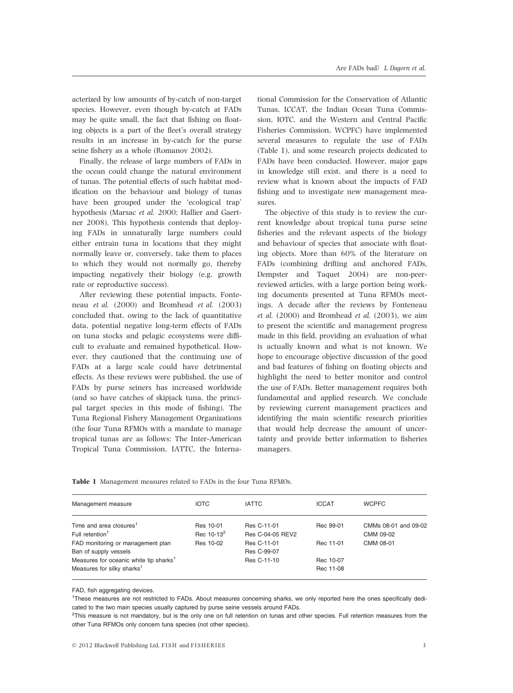acterized by low amounts of by-catch of non-target species. However, even though by-catch at FADs may be quite small, the fact that fishing on floating objects is a part of the fleet's overall strategy results in an increase in by-catch for the purse seine fishery as a whole (Romanov 2002).

Finally, the release of large numbers of FADs in the ocean could change the natural environment of tunas. The potential effects of such habitat modification on the behaviour and biology of tunas have been grouped under the 'ecological trap' hypothesis (Marsac et al. 2000; Hallier and Gaertner 2008). This hypothesis contends that deploying FADs in unnaturally large numbers could either entrain tuna in locations that they might normally leave or, conversely, take them to places to which they would not normally go, thereby impacting negatively their biology (e.g. growth rate or reproductive success).

After reviewing these potential impacts, Fonteneau et al. (2000) and Bromhead et al. (2003) concluded that, owing to the lack of quantitative data, potential negative long-term effects of FADs on tuna stocks and pelagic ecosystems were difficult to evaluate and remained hypothetical. However, they cautioned that the continuing use of FADs at a large scale could have detrimental effects. As these reviews were published, the use of FADs by purse seiners has increased worldwide (and so have catches of skipjack tuna, the principal target species in this mode of fishing). The Tuna Regional Fishery Management Organizations (the four Tuna RFMOs with a mandate to manage tropical tunas are as follows: The Inter-American Tropical Tuna Commission, IATTC, the Interna-

tional Commission for the Conservation of Atlantic Tunas, ICCAT, the Indian Ocean Tuna Commission, IOTC, and the Western and Central Pacific Fisheries Commission, WCPFC) have implemented several measures to regulate the use of FADs (Table 1), and some research projects dedicated to FADs have been conducted. However, major gaps in knowledge still exist, and there is a need to review what is known about the impacts of FAD fishing and to investigate new management measures.

The objective of this study is to review the current knowledge about tropical tuna purse seine fisheries and the relevant aspects of the biology and behaviour of species that associate with floating objects. More than 60% of the literature on FADs (combining drifting and anchored FADs, Dempster and Taquet 2004) are non-peerreviewed articles, with a large portion being working documents presented at Tuna RFMOs meetings. A decade after the reviews by Fonteneau et al. (2000) and Bromhead et al. (2003), we aim to present the scientific and management progress made in this field, providing an evaluation of what is actually known and what is not known. We hope to encourage objective discussion of the good and bad features of fishing on floating objects and highlight the need to better monitor and control the use of FADs. Better management requires both fundamental and applied research. We conclude by reviewing current management practices and identifying the main scientific research priorities that would help decrease the amount of uncertainty and provide better information to fisheries managers.

Table 1 Management measures related to FADs in the four Tuna RFMOs.

| Management measure                                 | <b>IOTC</b>   | <b>IATTC</b>     | <b>ICCAT</b> | <b>WCPFC</b>         |
|----------------------------------------------------|---------------|------------------|--------------|----------------------|
|                                                    |               |                  |              |                      |
| Time and area closures <sup>1</sup>                | Res 10-01     | Res C-11-01      | Rec 99-01    | CMMs 08-01 and 09-02 |
| Full retention <sup>1</sup>                        | Rec $10-13^2$ | Res C-04-05 REV2 |              | CMM 09-02            |
| FAD monitoring or management plan                  | Res 10-02     | Res C-11-01      | Rec 11-01    | CMM 08-01            |
| Ban of supply vessels                              |               | Res C-99-07      |              |                      |
| Measures for oceanic white tip sharks <sup>1</sup> |               | Res C-11-10      | Rec 10-07    |                      |
| Measures for silky sharks <sup>1</sup>             |               |                  | Rec 11-08    |                      |

FAD, fish aggregating devices.

1 These measures are not restricted to FADs. About measures concerning sharks, we only reported here the ones specifically dedicated to the two main species usually captured by purse seine vessels around FADs.

<sup>2</sup>This measure is not mandatory, but is the only one on full retention on tunas and other species. Full retention measures from the other Tuna RFMOs only concern tuna species (not other species).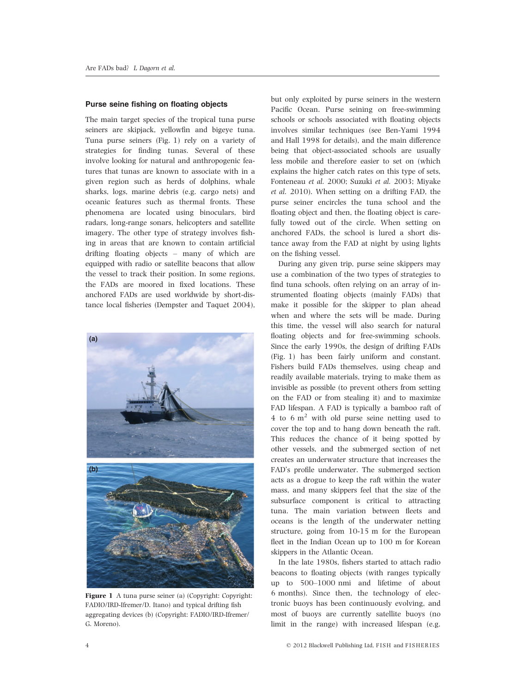## Purse seine fishing on floating objects

The main target species of the tropical tuna purse seiners are skipjack, yellowfin and bigeye tuna. Tuna purse seiners (Fig. 1) rely on a variety of strategies for finding tunas. Several of these involve looking for natural and anthropogenic features that tunas are known to associate with in a given region such as herds of dolphins, whale sharks, logs, marine debris (e.g. cargo nets) and oceanic features such as thermal fronts. These phenomena are located using binoculars, bird radars, long-range sonars, helicopters and satellite imagery. The other type of strategy involves fishing in areas that are known to contain artificial drifting floating objects – many of which are equipped with radio or satellite beacons that allow the vessel to track their position. In some regions, the FADs are moored in fixed locations. These anchored FADs are used worldwide by short-distance local fisheries (Dempster and Taquet 2004),



Figure 1 A tuna purse seiner (a) (Copyright: Copyright: FADIO/IRD-Ifremer/D. Itano) and typical drifting fish aggregating devices (b) (Copyright: FADIO/IRD-Ifremer/ G. Moreno).

but only exploited by purse seiners in the western Pacific Ocean. Purse seining on free-swimming schools or schools associated with floating objects involves similar techniques (see Ben-Yami 1994 and Hall 1998 for details), and the main difference being that object-associated schools are usually less mobile and therefore easier to set on (which explains the higher catch rates on this type of sets, Fonteneau et al. 2000; Suzuki et al. 2003; Miyake et al. 2010). When setting on a drifting FAD, the purse seiner encircles the tuna school and the floating object and then, the floating object is carefully towed out of the circle. When setting on anchored FADs, the school is lured a short distance away from the FAD at night by using lights on the fishing vessel.

During any given trip, purse seine skippers may use a combination of the two types of strategies to find tuna schools, often relying on an array of instrumented floating objects (mainly FADs) that make it possible for the skipper to plan ahead when and where the sets will be made. During this time, the vessel will also search for natural floating objects and for free-swimming schools. Since the early 1990s, the design of drifting FADs (Fig. 1) has been fairly uniform and constant. Fishers build FADs themselves, using cheap and readily available materials, trying to make them as invisible as possible (to prevent others from setting on the FAD or from stealing it) and to maximize FAD lifespan. A FAD is typically a bamboo raft of 4 to 6  $m<sup>2</sup>$  with old purse seine netting used to cover the top and to hang down beneath the raft. This reduces the chance of it being spotted by other vessels, and the submerged section of net creates an underwater structure that increases the FAD's profile underwater. The submerged section acts as a drogue to keep the raft within the water mass, and many skippers feel that the size of the subsurface component is critical to attracting tuna. The main variation between fleets and oceans is the length of the underwater netting structure, going from 10-15 m for the European fleet in the Indian Ocean up to 100 m for Korean skippers in the Atlantic Ocean.

In the late 1980s, fishers started to attach radio beacons to floating objects (with ranges typically up to 500–1000 nmi and lifetime of about 6 months). Since then, the technology of electronic buoys has been continuously evolving, and most of buoys are currently satellite buoys (no limit in the range) with increased lifespan (e.g.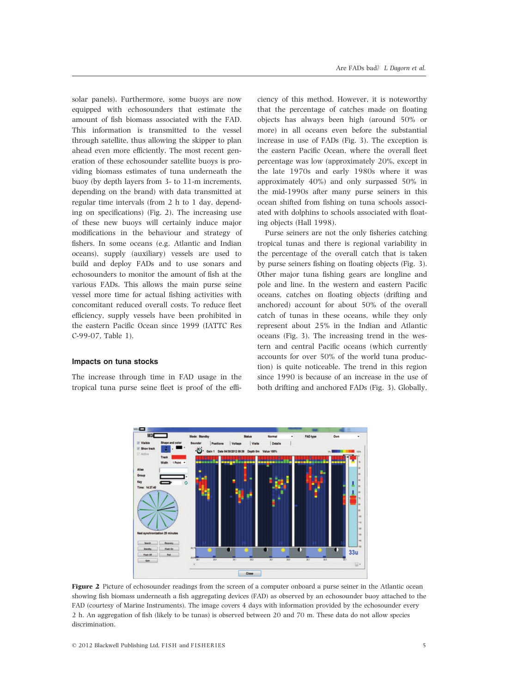solar panels). Furthermore, some buoys are now equipped with echosounders that estimate the amount of fish biomass associated with the FAD. This information is transmitted to the vessel through satellite, thus allowing the skipper to plan ahead even more efficiently. The most recent generation of these echosounder satellite buoys is providing biomass estimates of tuna underneath the buoy (by depth layers from 3- to 11-m increments, depending on the brand) with data transmitted at regular time intervals (from 2 h to 1 day, depending on specifications) (Fig. 2). The increasing use of these new buoys will certainly induce major modifications in the behaviour and strategy of fishers. In some oceans (e.g. Atlantic and Indian oceans), supply (auxiliary) vessels are used to build and deploy FADs and to use sonars and echosounders to monitor the amount of fish at the various FADs. This allows the main purse seine vessel more time for actual fishing activities with concomitant reduced overall costs. To reduce fleet efficiency, supply vessels have been prohibited in the eastern Pacific Ocean since 1999 (IATTC Res C-99-07, Table 1).

#### Impacts on tuna stocks

The increase through time in FAD usage in the tropical tuna purse seine fleet is proof of the efficiency of this method. However, it is noteworthy that the percentage of catches made on floating objects has always been high (around 50% or more) in all oceans even before the substantial increase in use of FADs (Fig. 3). The exception is the eastern Pacific Ocean, where the overall fleet percentage was low (approximately 20%, except in the late 1970s and early 1980s where it was approximately 40%) and only surpassed 50% in the mid-1990s after many purse seiners in this ocean shifted from fishing on tuna schools associated with dolphins to schools associated with floating objects (Hall 1998).

Purse seiners are not the only fisheries catching tropical tunas and there is regional variability in the percentage of the overall catch that is taken by purse seiners fishing on floating objects (Fig. 3). Other major tuna fishing gears are longline and pole and line. In the western and eastern Pacific oceans, catches on floating objects (drifting and anchored) account for about 50% of the overall catch of tunas in these oceans, while they only represent about 25% in the Indian and Atlantic oceans (Fig. 3). The increasing trend in the western and central Pacific oceans (which currently accounts for over 50% of the world tuna production) is quite noticeable. The trend in this region since 1990 is because of an increase in the use of both drifting and anchored FADs (Fig. 3). Globally,



Figure 2 Picture of echosounder readings from the screen of a computer onboard a purse seiner in the Atlantic ocean showing fish biomass underneath a fish aggregating devices (FAD) as observed by an echosounder buoy attached to the FAD (courtesy of Marine Instruments). The image covers 4 days with information provided by the echosounder every 2 h. An aggregation of fish (likely to be tunas) is observed between 20 and 70 m. These data do not allow species discrimination.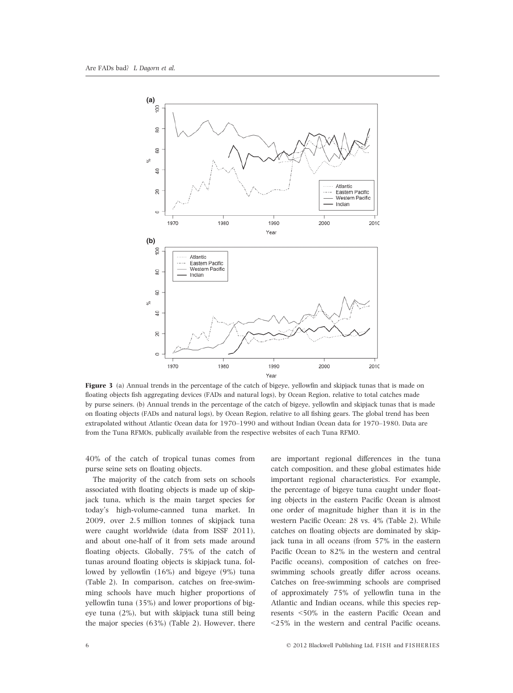

Figure 3 (a) Annual trends in the percentage of the catch of bigeye, yellowfin and skipjack tunas that is made on floating objects fish aggregating devices (FADs and natural logs), by Ocean Region, relative to total catches made by purse seiners. (b) Annual trends in the percentage of the catch of bigeye, yellowfin and skipjack tunas that is made on floating objects (FADs and natural logs), by Ocean Region, relative to all fishing gears. The global trend has been extrapolated without Atlantic Ocean data for 1970–1990 and without Indian Ocean data for 1970–1980. Data are from the Tuna RFMOs, publically available from the respective websites of each Tuna RFMO.

40% of the catch of tropical tunas comes from purse seine sets on floating objects.

The majority of the catch from sets on schools associated with floating objects is made up of skipjack tuna, which is the main target species for today's high-volume-canned tuna market. In 2009, over 2.5 million tonnes of skipjack tuna were caught worldwide (data from ISSF 2011), and about one-half of it from sets made around floating objects. Globally, 75% of the catch of tunas around floating objects is skipjack tuna, followed by yellowfin (16%) and bigeye (9%) tuna (Table 2). In comparison, catches on free-swimming schools have much higher proportions of yellowfin tuna (35%) and lower proportions of bigeye tuna (2%), but with skipjack tuna still being the major species (63%) (Table 2). However, there are important regional differences in the tuna catch composition, and these global estimates hide important regional characteristics. For example, the percentage of bigeye tuna caught under floating objects in the eastern Pacific Ocean is almost one order of magnitude higher than it is in the western Pacific Ocean: 28 vs. 4% (Table 2). While catches on floating objects are dominated by skipjack tuna in all oceans (from 57% in the eastern Pacific Ocean to 82% in the western and central Pacific oceans), composition of catches on freeswimming schools greatly differ across oceans. Catches on free-swimming schools are comprised of approximately 75% of yellowfin tuna in the Atlantic and Indian oceans, while this species represents <50% in the eastern Pacific Ocean and <25% in the western and central Pacific oceans.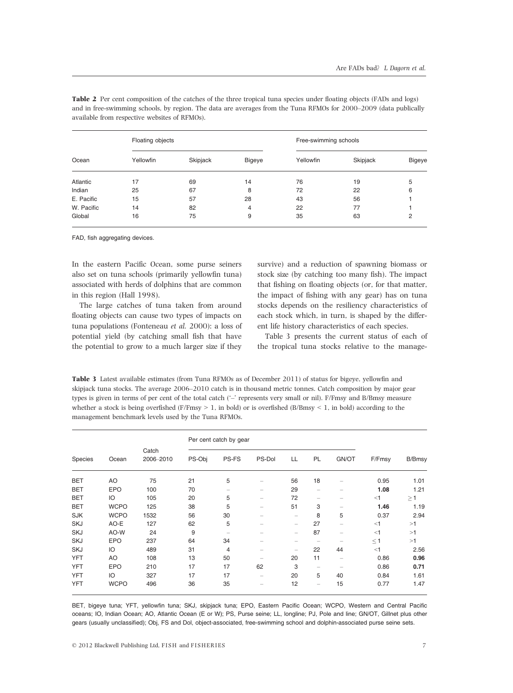|            | Floating objects |          |        | Free-swimming schools |          |               |
|------------|------------------|----------|--------|-----------------------|----------|---------------|
| Ocean      | Yellowfin        | Skipjack | Bigeye | Yellowfin             | Skipjack | <b>Bigeye</b> |
| Atlantic   | 17               | 69       | 14     | 76                    | 19       | 5             |
| Indian     | 25               | 67       | 8      | 72                    | 22       | 6             |
| E. Pacific | 15               | 57       | 28     | 43                    | 56       |               |
| W. Pacific | 14               | 82       | 4      | 22                    | 77       |               |
| Global     | 16               | 75       | 9      | 35                    | 63       |               |

Table 2 Per cent composition of the catches of the three tropical tuna species under floating objects (FADs and logs) and in free-swimming schools, by region. The data are averages from the Tuna RFMOs for 2000–2009 (data publically available from respective websites of RFMOs).

FAD, fish aggregating devices.

In the eastern Pacific Ocean, some purse seiners also set on tuna schools (primarily yellowfin tuna) associated with herds of dolphins that are common in this region (Hall 1998).

The large catches of tuna taken from around floating objects can cause two types of impacts on tuna populations (Fonteneau et al. 2000): a loss of potential yield (by catching small fish that have the potential to grow to a much larger size if they

survive) and a reduction of spawning biomass or stock size (by catching too many fish). The impact that fishing on floating objects (or, for that matter, the impact of fishing with any gear) has on tuna stocks depends on the resiliency characteristics of each stock which, in turn, is shaped by the different life history characteristics of each species.

Table 3 presents the current status of each of the tropical tuna stocks relative to the manage-

Table 3 Latest available estimates (from Tuna RFMOs as of December 2011) of status for bigeye, yellowfin and skipjack tuna stocks. The average 2006–2010 catch is in thousand metric tonnes. Catch composition by major gear types is given in terms of per cent of the total catch ('–' represents very small or nil). F/Fmsy and B/Bmsy measure whether a stock is being overfished (F/Fmsy  $> 1$ , in bold) or is overfished (B/Bmsy  $< 1$ , in bold) according to the management benchmark levels used by the Tuna RFMOs.

|            |             |                    |        | Per cent catch by gear   |                          |                          |                          |                   |          |          |
|------------|-------------|--------------------|--------|--------------------------|--------------------------|--------------------------|--------------------------|-------------------|----------|----------|
| Species    | Ocean       | Catch<br>2006-2010 | PS-Obj | PS-FS                    | PS-Dol                   | LL                       | PL                       | GN/OT             | F/Fmsy   | B/Bmsy   |
| <b>BET</b> | AO          | 75                 | 21     | 5                        |                          | 56                       | 18                       |                   | 0.95     | 1.01     |
| <b>BET</b> | <b>EPO</b>  | 100                | 70     | -                        |                          | 29                       |                          |                   | 1.08     | 1.21     |
| <b>BET</b> | IO          | 105                | 20     | 5                        | $\overline{\phantom{0}}$ | 72                       |                          |                   | $<$ 1    | $\geq$ 1 |
| <b>BET</b> | <b>WCPO</b> | 125                | 38     | 5                        | -                        | 51                       | 3                        | -                 | 1.46     | 1.19     |
| <b>SJK</b> | <b>WCPO</b> | 1532               | 56     | 30                       | -                        | -                        | 8                        | 5                 | 0.37     | 2.94     |
| <b>SKJ</b> | AO-E        | 127                | 62     | 5                        |                          | -                        | 27                       | $\equiv$          | $<$ 1    | >1       |
| <b>SKJ</b> | AO-W        | 24                 | 9      | $\overline{\phantom{0}}$ |                          | -                        | 87                       | -                 | $<$ 1    | >1       |
| <b>SKJ</b> | <b>EPO</b>  | 237                | 64     | 34                       | -                        | -                        |                          | $\equiv$          | $\leq$ 1 | >1       |
| <b>SKJ</b> | IO          | 489                | 31     | 4                        | -                        | $\overline{\phantom{0}}$ | 22                       | 44                | $<$ 1    | 2.56     |
| <b>YFT</b> | AO          | 108                | 13     | 50                       |                          | 20                       | 11                       | $\qquad \qquad -$ | 0.86     | 0.96     |
| <b>YFT</b> | <b>EPO</b>  | 210                | 17     | 17                       | 62                       | 3                        | $\overline{\phantom{a}}$ |                   | 0.86     | 0.71     |
| <b>YFT</b> | IO          | 327                | 17     | 17                       | -                        | 20                       | 5                        | 40                | 0.84     | 1.61     |
| <b>YFT</b> | <b>WCPO</b> | 496                | 36     | 35                       |                          | 12                       | -                        | 15                | 0.77     | 1.47     |

BET, bigeye tuna; YFT, yellowfin tuna; SKJ, skipjack tuna; EPO, Eastern Pacific Ocean; WCPO, Western and Central Pacific oceans; IO, Indian Ocean; AO, Atlantic Ocean (E or W); PS, Purse seine; LL, longline; PJ, Pole and line; GN/OT, Gillnet plus other gears (usually unclassified); Obj, FS and Dol, object-associated, free-swimming school and dolphin-associated purse seine sets.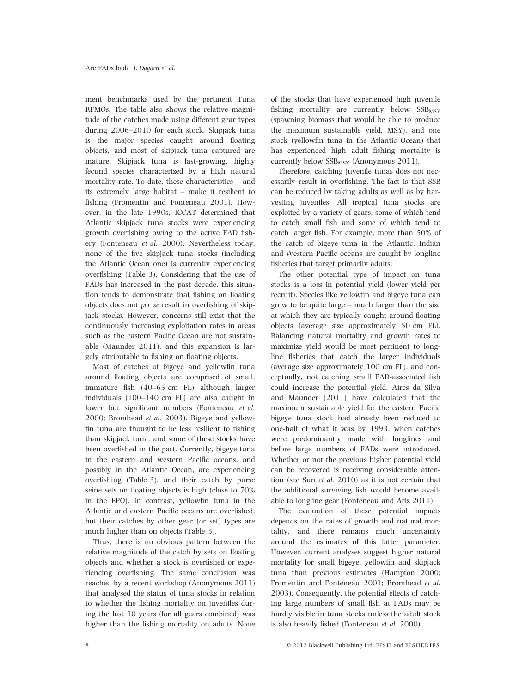ment benchmarks used by the pertinent Tuna RFMOs. The table also shows the relative magnitude of the catches made using different gear types during 2006–2010 for each stock. Skipjack tuna is the major species caught around floating objects, and most of skipjack tuna captured are mature. Skipjack tuna is fast-growing, highly fecund species characterized by a high natural mortality rate. To date, these characteristics – and its extremely large habitat – make it resilient to fishing (Fromentin and Fonteneau 2001). However, in the late 1990s, ICCAT determined that Atlantic skipjack tuna stocks were experiencing growth overfishing owing to the active FAD fishery (Fonteneau et al. 2000). Nevertheless today, none of the five skipjack tuna stocks (including the Atlantic Ocean one) is currently experiencing overfishing (Table 3). Considering that the use of FADs has increased in the past decade, this situation tends to demonstrate that fishing on floating objects does not per se result in overfishing of skipjack stocks. However, concerns still exist that the continuously increasing exploitation rates in areas such as the eastern Pacific Ocean are not sustainable (Maunder 2011), and this expansion is largely attributable to fishing on floating objects.

Most of catches of bigeye and yellowfin tuna around floating objects are comprised of small, immature fish (40–65 cm FL) although larger individuals (100–140 cm FL) are also caught in lower but significant numbers (Fonteneau et al. 2000; Bromhead et al. 2003). Bigeye and yellowfin tuna are thought to be less resilient to fishing than skipjack tuna, and some of these stocks have been overfished in the past. Currently, bigeye tuna in the eastern and western Pacific oceans, and possibly in the Atlantic Ocean, are experiencing overfishing (Table 3), and their catch by purse seine sets on floating objects is high (close to 70% in the EPO). In contrast, yellowfin tuna in the Atlantic and eastern Pacific oceans are overfished, but their catches by other gear (or set) types are much higher than on objects (Table 3).

Thus, there is no obvious pattern between the relative magnitude of the catch by sets on floating objects and whether a stock is overfished or experiencing overfishing. The same conclusion was reached by a recent workshop (Anonymous 2011) that analysed the status of tuna stocks in relation to whether the fishing mortality on juveniles during the last 10 years (for all gears combined) was higher than the fishing mortality on adults. None

of the stocks that have experienced high juvenile fishing mortality are currently below  $SSB_{MSY}$ (spawning biomass that would be able to produce the maximum sustainable yield, MSY), and one stock (yellowfin tuna in the Atlantic Ocean) that has experienced high adult fishing mortality is currently below  $SSB_{MSY}$  (Anonymous 2011).

Therefore, catching juvenile tunas does not necessarily result in overfishing. The fact is that SSB can be reduced by taking adults as well as by harvesting juveniles. All tropical tuna stocks are exploited by a variety of gears, some of which tend to catch small fish and some of which tend to catch larger fish. For example, more than 50% of the catch of bigeye tuna in the Atlantic, Indian and Western Pacific oceans are caught by longline fisheries that target primarily adults.

The other potential type of impact on tuna stocks is a loss in potential yield (lower yield per recruit). Species like yellowfin and bigeye tuna can grow to be quite large – much larger than the size at which they are typically caught around floating objects (average size approximately 50 cm FL). Balancing natural mortality and growth rates to maximize yield would be most pertinent to longline fisheries that catch the larger individuals (average size approximately 100 cm FL), and conceptually, not catching small FAD-associated fish could increase the potential yield. Aires da Silva and Maunder (2011) have calculated that the maximum sustainable yield for the eastern Pacific bigeye tuna stock had already been reduced to one-half of what it was by 1993, when catches were predominantly made with longlines and before large numbers of FADs were introduced. Whether or not the previous higher potential yield can be recovered is receiving considerable attention (see Sun et al. 2010) as it is not certain that the additional surviving fish would become available to longline gear (Fonteneau and Ariz 2011).

The evaluation of these potential impacts depends on the rates of growth and natural mortality, and there remains much uncertainty around the estimates of this latter parameter. However, current analyses suggest higher natural mortality for small bigeye, yellowfin and skipjack tuna than previous estimates (Hampton 2000; Fromentin and Fonteneau 2001; Bromhead et al. 2003). Consequently, the potential effects of catching large numbers of small fish at FADs may be hardly visible in tuna stocks unless the adult stock is also heavily fished (Fonteneau et al. 2000).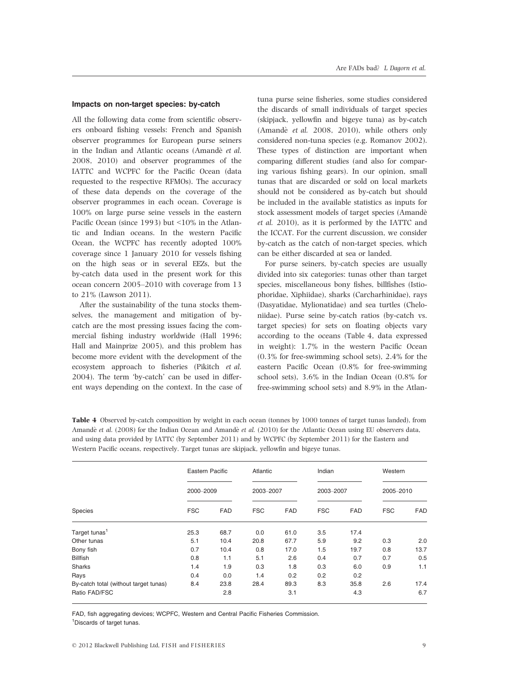## Impacts on non-target species: by-catch

All the following data come from scientific observers onboard fishing vessels: French and Spanish observer programmes for European purse seiners in the Indian and Atlantic oceans (Amandè et al. 2008, 2010) and observer programmes of the IATTC and WCPFC for the Pacific Ocean (data requested to the respective RFMOs). The accuracy of these data depends on the coverage of the observer programmes in each ocean. Coverage is 100% on large purse seine vessels in the eastern Pacific Ocean (since 1993) but <10% in the Atlantic and Indian oceans. In the western Pacific Ocean, the WCPFC has recently adopted 100% coverage since 1 January 2010 for vessels fishing on the high seas or in several EEZs, but the by-catch data used in the present work for this ocean concern 2005–2010 with coverage from 13 to 21% (Lawson 2011).

After the sustainability of the tuna stocks themselves, the management and mitigation of bycatch are the most pressing issues facing the commercial fishing industry worldwide (Hall 1996; Hall and Mainprize 2005), and this problem has become more evident with the development of the ecosystem approach to fisheries (Pikitch et al. 2004). The term 'by-catch' can be used in different ways depending on the context. In the case of

tuna purse seine fisheries, some studies considered the discards of small individuals of target species (skipjack, yellowfin and bigeye tuna) as by-catch (Amande` et al. 2008, 2010), while others only considered non-tuna species (e.g. Romanov 2002). These types of distinction are important when comparing different studies (and also for comparing various fishing gears). In our opinion, small tunas that are discarded or sold on local markets should not be considered as by-catch but should be included in the available statistics as inputs for stock assessment models of target species (Amande` et al. 2010), as it is performed by the IATTC and the ICCAT. For the current discussion, we consider by-catch as the catch of non-target species, which can be either discarded at sea or landed.

For purse seiners, by-catch species are usually divided into six categories: tunas other than target species, miscellaneous bony fishes, billfishes (Istiophoridae, Xiphiidae), sharks (Carcharhinidae), rays (Dasyatidae, Mylionatidae) and sea turtles (Cheloniidae). Purse seine by-catch ratios (by-catch vs. target species) for sets on floating objects vary according to the oceans (Table 4, data expressed in weight): 1.7% in the western Pacific Ocean (0.3% for free-swimming school sets), 2.4% for the eastern Pacific Ocean (0.8% for free-swimming school sets), 3.6% in the Indian Ocean (0.8% for free-swimming school sets) and 8.9% in the Atlan-

Table 4 Observed by-catch composition by weight in each ocean (tonnes by 1000 tonnes of target tunas landed), from Amandè et al. (2008) for the Indian Ocean and Amandè et al. (2010) for the Atlantic Ocean using EU observers data, and using data provided by IATTC (by September 2011) and by WCPFC (by September 2011) for the Eastern and Western Pacific oceans, respectively. Target tunas are skipjack, yellowfin and bigeye tunas.

|                                       | Eastern Pacific |            | Atlantic   |            | Indian     |            | Western    |            |
|---------------------------------------|-----------------|------------|------------|------------|------------|------------|------------|------------|
|                                       | 2000-2009       |            | 2003-2007  |            | 2003-2007  |            | 2005-2010  |            |
| Species                               | <b>FSC</b>      | <b>FAD</b> | <b>FSC</b> | <b>FAD</b> | <b>FSC</b> | <b>FAD</b> | <b>FSC</b> | <b>FAD</b> |
| Target tunas <sup>1</sup>             | 25.3            | 68.7       | 0.0        | 61.0       | 3.5        | 17.4       |            |            |
| Other tunas                           | 5.1             | 10.4       | 20.8       | 67.7       | 5.9        | 9.2        | 0.3        | 2.0        |
| Bony fish                             | 0.7             | 10.4       | 0.8        | 17.0       | 1.5        | 19.7       | 0.8        | 13.7       |
| <b>Billfish</b>                       | 0.8             | 1.1        | 5.1        | 2.6        | 0.4        | 0.7        | 0.7        | 0.5        |
| Sharks                                | 1.4             | 1.9        | 0.3        | 1.8        | 0.3        | 6.0        | 0.9        | 1.1        |
| Rays                                  | 0.4             | 0.0        | 1.4        | 0.2        | 0.2        | 0.2        |            |            |
| By-catch total (without target tunas) | 8.4             | 23.8       | 28.4       | 89.3       | 8.3        | 35.8       | 2.6        | 17.4       |
| Ratio FAD/FSC                         |                 | 2.8        |            | 3.1        |            | 4.3        |            | 6.7        |

FAD, fish aggregating devices; WCPFC, Western and Central Pacific Fisheries Commission.

1 Discards of target tunas.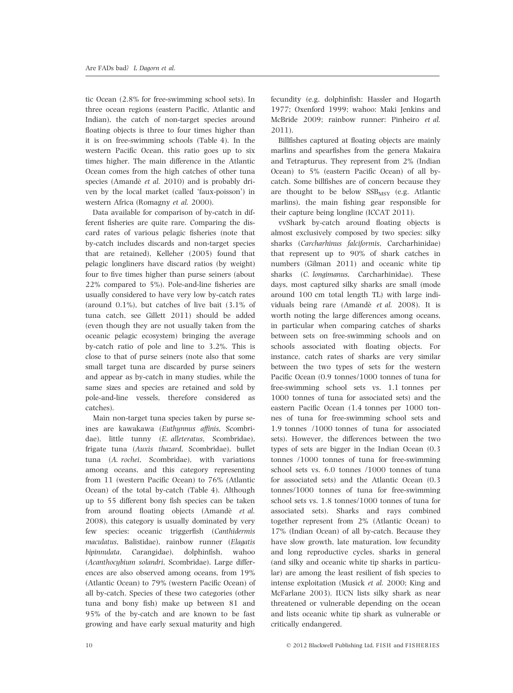tic Ocean (2.8% for free-swimming school sets). In three ocean regions (eastern Pacific, Atlantic and Indian), the catch of non-target species around floating objects is three to four times higher than it is on free-swimming schools (Table 4). In the western Pacific Ocean, this ratio goes up to six times higher. The main difference in the Atlantic Ocean comes from the high catches of other tuna species (Amandè et al.  $2010$ ) and is probably driven by the local market (called 'faux-poisson') in western Africa (Romagny et al. 2000).

Data available for comparison of by-catch in different fisheries are quite rare. Comparing the discard rates of various pelagic fisheries (note that by-catch includes discards and non-target species that are retained), Kelleher (2005) found that pelagic longliners have discard ratios (by weight) four to five times higher than purse seiners (about 22% compared to 5%). Pole-and-line fisheries are usually considered to have very low by-catch rates (around 0.1%), but catches of live bait (3.1% of tuna catch, see Gillett 2011) should be added (even though they are not usually taken from the oceanic pelagic ecosystem) bringing the average by-catch ratio of pole and line to 3.2%. This is close to that of purse seiners (note also that some small target tuna are discarded by purse seiners and appear as by-catch in many studies, while the same sizes and species are retained and sold by pole-and-line vessels, therefore considered as catches).

Main non-target tuna species taken by purse seines are kawakawa (Euthynnus affinis, Scombridae), little tunny (E. alleteratus, Scombridae), frigate tuna (Auxis thazard, Scombridae), bullet tuna (A. rochei, Scombridae), with variations among oceans, and this category representing from 11 (western Pacific Ocean) to 76% (Atlantic Ocean) of the total by-catch (Table 4). Although up to 55 different bony fish species can be taken from around floating objects (Amandè et al. 2008), this category is usually dominated by very few species: oceanic triggerfish (Canthidermis maculatus, Balistidae), rainbow runner (Elagatis bipinnulata, Carangidae), dolphinfish, wahoo (Acanthocybium solandri, Scombridae). Large differences are also observed among oceans, from 19% (Atlantic Ocean) to 79% (western Pacific Ocean) of all by-catch. Species of these two categories (other tuna and bony fish) make up between 81 and 95% of the by-catch and are known to be fast growing and have early sexual maturity and high

fecundity (e.g. dolphinfish: Hassler and Hogarth 1977; Oxenford 1999; wahoo: Maki Jenkins and McBride 2009; rainbow runner: Pinheiro et al. 2011).

Billfishes captured at floating objects are mainly marlins and spearfishes from the genera Makaira and Tetrapturus. They represent from 2% (Indian Ocean) to 5% (eastern Pacific Ocean) of all bycatch. Some billfishes are of concern because they are thought to be below  $SSB_{MSY}$  (e.g. Atlantic marlins), the main fishing gear responsible for their capture being longline (ICCAT 2011).

vvShark by-catch around floating objects is almost exclusively composed by two species: silky sharks (Carcharhinus falciformis, Carcharhinidae) that represent up to 90% of shark catches in numbers (Gilman 2011) and oceanic white tip sharks (C. longimanus, Carcharhinidae). These days, most captured silky sharks are small (mode around 100 cm total length TL) with large individuals being rare (Amandè et al. 2008). It is worth noting the large differences among oceans, in particular when comparing catches of sharks between sets on free-swimming schools and on schools associated with floating objects. For instance, catch rates of sharks are very similar between the two types of sets for the western Pacific Ocean (0.9 tonnes/1000 tonnes of tuna for free-swimming school sets vs. 1.1 tonnes per 1000 tonnes of tuna for associated sets) and the eastern Pacific Ocean (1.4 tonnes per 1000 tonnes of tuna for free-swimming school sets and 1.9 tonnes /1000 tonnes of tuna for associated sets). However, the differences between the two types of sets are bigger in the Indian Ocean (0.3 tonnes /1000 tonnes of tuna for free-swimming school sets vs. 6.0 tonnes /1000 tonnes of tuna for associated sets) and the Atlantic Ocean (0.3 tonnes/1000 tonnes of tuna for free-swimming school sets vs. 1.8 tonnes/1000 tonnes of tuna for associated sets). Sharks and rays combined together represent from 2% (Atlantic Ocean) to 17% (Indian Ocean) of all by-catch. Because they have slow growth, late maturation, low fecundity and long reproductive cycles, sharks in general (and silky and oceanic white tip sharks in particular) are among the least resilient of fish species to intense exploitation (Musick et al. 2000; King and McFarlane 2003). IUCN lists silky shark as near threatened or vulnerable depending on the ocean and lists oceanic white tip shark as vulnerable or critically endangered.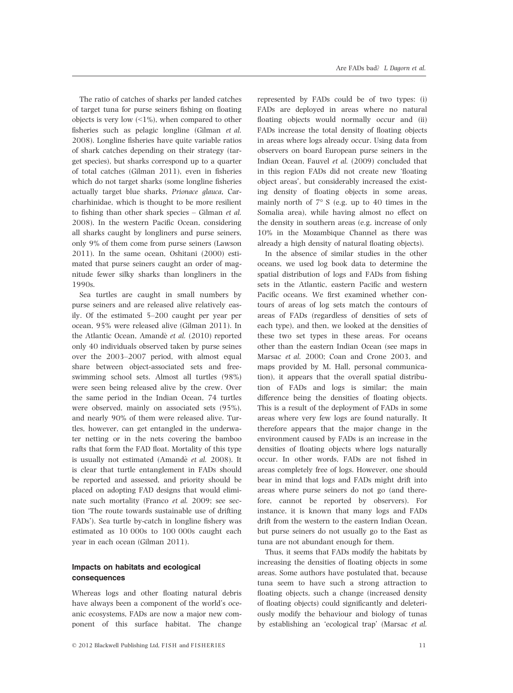The ratio of catches of sharks per landed catches of target tuna for purse seiners fishing on floating objects is very low  $(1\%)$ , when compared to other fisheries such as pelagic longline (Gilman et al. 2008). Longline fisheries have quite variable ratios of shark catches depending on their strategy (target species), but sharks correspond up to a quarter of total catches (Gilman 2011), even in fisheries which do not target sharks (some longline fisheries actually target blue sharks, Prionace glauca, Carcharhinidae, which is thought to be more resilient to fishing than other shark species – Gilman et al. 2008). In the western Pacific Ocean, considering all sharks caught by longliners and purse seiners, only 9% of them come from purse seiners (Lawson 2011). In the same ocean, Oshitani (2000) estimated that purse seiners caught an order of magnitude fewer silky sharks than longliners in the 1990s.

Sea turtles are caught in small numbers by purse seiners and are released alive relatively easily. Of the estimated 5–200 caught per year per ocean, 95% were released alive (Gilman 2011). In the Atlantic Ocean, Amandè et al. (2010) reported only 40 individuals observed taken by purse seines over the 2003–2007 period, with almost equal share between object-associated sets and freeswimming school sets. Almost all turtles (98%) were seen being released alive by the crew. Over the same period in the Indian Ocean, 74 turtles were observed, mainly on associated sets (95%), and nearly 90% of them were released alive. Turtles, however, can get entangled in the underwater netting or in the nets covering the bamboo rafts that form the FAD float. Mortality of this type is usually not estimated (Amandè et al. 2008). It is clear that turtle entanglement in FADs should be reported and assessed, and priority should be placed on adopting FAD designs that would eliminate such mortality (Franco et al. 2009; see section 'The route towards sustainable use of drifting FADs'). Sea turtle by-catch in longline fishery was estimated as 10 000s to 100 000s caught each year in each ocean (Gilman 2011).

# Impacts on habitats and ecological consequences

Whereas logs and other floating natural debris have always been a component of the world's oceanic ecosystems, FADs are now a major new component of this surface habitat. The change

represented by FADs could be of two types: (i) FADs are deployed in areas where no natural floating objects would normally occur and (ii) FADs increase the total density of floating objects in areas where logs already occur. Using data from observers on board European purse seiners in the Indian Ocean, Fauvel et al. (2009) concluded that in this region FADs did not create new 'floating object areas', but considerably increased the existing density of floating objects in some areas, mainly north of 7° S (e.g. up to 40 times in the Somalia area), while having almost no effect on the density in southern areas (e.g. increase of only 10% in the Mozambique Channel as there was already a high density of natural floating objects).

In the absence of similar studies in the other oceans, we used log book data to determine the spatial distribution of logs and FADs from fishing sets in the Atlantic, eastern Pacific and western Pacific oceans. We first examined whether contours of areas of log sets match the contours of areas of FADs (regardless of densities of sets of each type), and then, we looked at the densities of these two set types in these areas. For oceans other than the eastern Indian Ocean (see maps in Marsac et al. 2000; Coan and Crone 2003, and maps provided by M. Hall, personal communication), it appears that the overall spatial distribution of FADs and logs is similar; the main difference being the densities of floating objects. This is a result of the deployment of FADs in some areas where very few logs are found naturally. It therefore appears that the major change in the environment caused by FADs is an increase in the densities of floating objects where logs naturally occur. In other words, FADs are not fished in areas completely free of logs. However, one should bear in mind that logs and FADs might drift into areas where purse seiners do not go (and therefore, cannot be reported by observers). For instance, it is known that many logs and FADs drift from the western to the eastern Indian Ocean, but purse seiners do not usually go to the East as tuna are not abundant enough for them.

Thus, it seems that FADs modify the habitats by increasing the densities of floating objects in some areas. Some authors have postulated that, because tuna seem to have such a strong attraction to floating objects, such a change (increased density of floating objects) could significantly and deleteriously modify the behaviour and biology of tunas by establishing an 'ecological trap' (Marsac et al.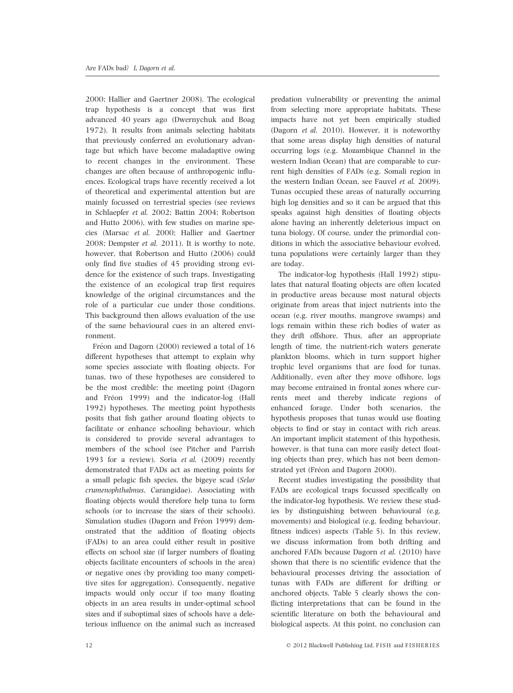2000; Hallier and Gaertner 2008). The ecological trap hypothesis is a concept that was first advanced 40 years ago (Dwernychuk and Boag 1972). It results from animals selecting habitats that previously conferred an evolutionary advantage but which have become maladaptive owing to recent changes in the environment. These changes are often because of anthropogenic influences. Ecological traps have recently received a lot of theoretical and experimental attention but are mainly focussed on terrestrial species (see reviews in Schlaepfer et al. 2002; Battin 2004; Robertson and Hutto 2006), with few studies on marine species (Marsac et al. 2000; Hallier and Gaertner 2008; Dempster et al. 2011). It is worthy to note, however, that Robertson and Hutto (2006) could only find five studies of 45 providing strong evidence for the existence of such traps. Investigating the existence of an ecological trap first requires knowledge of the original circumstances and the role of a particular cue under those conditions. This background then allows evaluation of the use of the same behavioural cues in an altered environment.

Fréon and Dagorn (2000) reviewed a total of 16 different hypotheses that attempt to explain why some species associate with floating objects. For tunas, two of these hypotheses are considered to be the most credible: the meeting point (Dagorn and Fréon 1999) and the indicator-log (Hall 1992) hypotheses. The meeting point hypothesis posits that fish gather around floating objects to facilitate or enhance schooling behaviour, which is considered to provide several advantages to members of the school (see Pitcher and Parrish 1993 for a review). Soria et al. (2009) recently demonstrated that FADs act as meeting points for a small pelagic fish species, the bigeye scad (Selar crumenophthalmus, Carangidae). Associating with floating objects would therefore help tuna to form schools (or to increase the sizes of their schools). Simulation studies (Dagorn and Fréon 1999) demonstrated that the addition of floating objects (FADs) to an area could either result in positive effects on school size (if larger numbers of floating objects facilitate encounters of schools in the area) or negative ones (by providing too many competitive sites for aggregation). Consequently, negative impacts would only occur if too many floating objects in an area results in under-optimal school sizes and if suboptimal sizes of schools have a deleterious influence on the animal such as increased

predation vulnerability or preventing the animal from selecting more appropriate habitats. These impacts have not yet been empirically studied (Dagorn et al. 2010). However, it is noteworthy that some areas display high densities of natural occurring logs (e.g. Mozambique Channel in the western Indian Ocean) that are comparable to current high densities of FADs (e.g. Somali region in the western Indian Ocean, see Fauvel et al. 2009). Tunas occupied these areas of naturally occurring high log densities and so it can be argued that this speaks against high densities of floating objects alone having an inherently deleterious impact on tuna biology. Of course, under the primordial conditions in which the associative behaviour evolved, tuna populations were certainly larger than they are today.

The indicator-log hypothesis (Hall 1992) stipulates that natural floating objects are often located in productive areas because most natural objects originate from areas that inject nutrients into the ocean (e.g. river mouths, mangrove swamps) and logs remain within these rich bodies of water as they drift offshore. Thus, after an appropriate length of time, the nutrient-rich waters generate plankton blooms, which in turn support higher trophic level organisms that are food for tunas. Additionally, even after they move offshore, logs may become entrained in frontal zones where currents meet and thereby indicate regions of enhanced forage. Under both scenarios, the hypothesis proposes that tunas would use floating objects to find or stay in contact with rich areas. An important implicit statement of this hypothesis, however, is that tuna can more easily detect floating objects than prey, which has not been demonstrated yet (Fréon and Dagorn 2000).

Recent studies investigating the possibility that FADs are ecological traps focussed specifically on the indicator-log hypothesis. We review these studies by distinguishing between behavioural (e.g. movements) and biological (e.g. feeding behaviour, fitness indices) aspects (Table 5). In this review, we discuss information from both drifting and anchored FADs because Dagorn et al. (2010) have shown that there is no scientific evidence that the behavioural processes driving the association of tunas with FADs are different for drifting or anchored objects. Table 5 clearly shows the conflicting interpretations that can be found in the scientific literature on both the behavioural and biological aspects. At this point, no conclusion can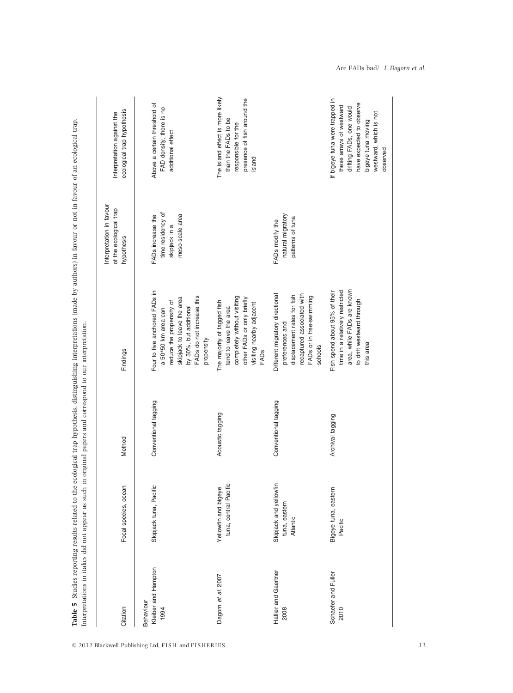|                                          | Interpretations in italics did not appear as such in original papers and correspond to our interpretation |                      | Table 5 Studies reporting results related to the ecological trap hypothesis, distinguishing interpretations (made by authors) in favour or not in favour of an ecological trap.     |                                                                            |                                                                                                                                                                                |
|------------------------------------------|-----------------------------------------------------------------------------------------------------------|----------------------|-------------------------------------------------------------------------------------------------------------------------------------------------------------------------------------|----------------------------------------------------------------------------|--------------------------------------------------------------------------------------------------------------------------------------------------------------------------------|
| Citation                                 | Focal species, ocean                                                                                      | Method               | Findings                                                                                                                                                                            | Interpretation in favour<br>of the ecological trap<br>hypothesis           | ecological trap hypothesis<br>Interpretation against the                                                                                                                       |
| Kleiber and Hampton<br>Behaviour<br>1994 | Skipjack tuna, Pacific                                                                                    | Conventional tagging | Four to five anchored FADs in<br>FADs do not increase this<br>skipjack to leave the area<br>reduce the propensity of<br>by 50%, but additional<br>a 50*50 km area can<br>propensity | time residency of<br>meso-scale area<br>FADs increase the<br>skipjack in a | Above a certain threshold of<br>FAD density, there is no<br>additional effect                                                                                                  |
| Dagorn et al. 2007                       | tuna, central Pacific<br>Yellowfin and bigeye                                                             | Acoustic tagging     | completely without visiting<br>other FADs or only briefly<br>The majority of tagged fish<br>visiting nearby adjacent<br>tend to leave the area<br><b>FADs</b>                       |                                                                            | The island effect is more likely<br>presence of fish around the<br>than the FADs to be<br>responsible for the<br>island                                                        |
| Hallier and Gaertner<br>2008             | Skipjack and yellowfin<br>tuna, eastern<br>Atlantic                                                       | Conventional tagging | Different migratory directional<br>recaptured associated with<br>displacement rates for fish<br>FADs or in free-swimming<br>preferences and<br>schools                              | natural migratory<br>patterns of tuna<br>FADs modify the                   |                                                                                                                                                                                |
| Schaefer and Fuller<br>2010              | Bigeye tuna, eastern<br>Pacific                                                                           | Archival tagging     | area, while FADs are known<br>time in a relatively restricted<br>Fish spend about 95% of their<br>to drift westward through<br>this area                                            |                                                                            | If bigeye tuna were trapped in<br>have expected to observe<br>these arrays of westward<br>drifting FADs, one would<br>westward, which is not<br>bigeye tuna moving<br>observed |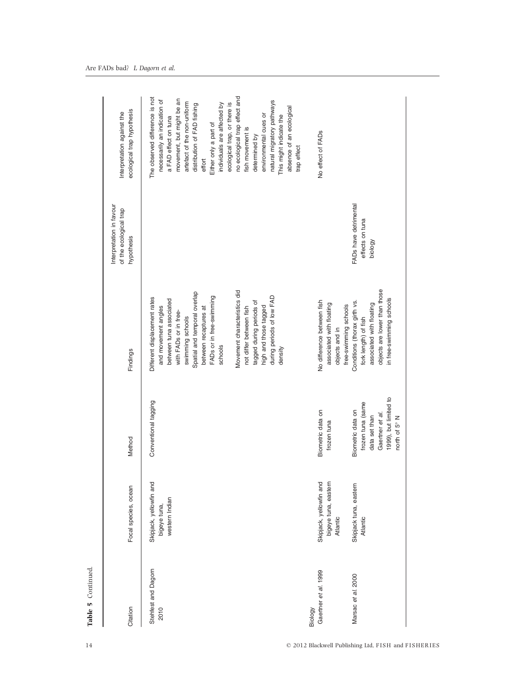| Citation                        | Focal species, ocean                                        | Method                                                                                                              | Findings                                                                                                                                                                                                                                                                                                                                                                            | Interpretation in favour<br>of the ecological trap<br>hypothesis | ecological trap hypothesis<br>Interpretation against the                                                                                                                                                                                                                                                                                                                                                                                                                |
|---------------------------------|-------------------------------------------------------------|---------------------------------------------------------------------------------------------------------------------|-------------------------------------------------------------------------------------------------------------------------------------------------------------------------------------------------------------------------------------------------------------------------------------------------------------------------------------------------------------------------------------|------------------------------------------------------------------|-------------------------------------------------------------------------------------------------------------------------------------------------------------------------------------------------------------------------------------------------------------------------------------------------------------------------------------------------------------------------------------------------------------------------------------------------------------------------|
| Stehfest and Dagorn<br>2010     | Skipjack, yellowfin and<br>western Indian<br>bigeye tuna,   | Conventional tagging                                                                                                | Movement characteristics did<br>Spatial and temporal overlap<br>during periods of low FAD<br>FADs or in free-swimming<br>Different displacement rates<br>between tuna associated<br>tagged during periods of<br>high and those tagged<br>and movement angles<br>between recaptures at<br>not differ between fish<br>with FADs or in free-<br>swimming schools<br>schools<br>density |                                                                  | no ecological trap effect and<br>The observed difference is not<br>movement, but might be an<br>necessarily an indication of<br>natural migratory pathways<br>artefact of the non-uniform<br>individuals are affected by<br>ecological trap, or there is<br>distribution of FAD fishing<br>absence of an ecological<br>environmental cues or<br>This might indicate the<br>a FAD effect on tuna<br>Either only a part of<br>fish movement is<br>determined by<br>effort |
| Gaertner et al. 1999<br>Biology | Skipjack, yellowfin and<br>bigeye tuna, eastern<br>Atlantic | Biometric data on<br>frozen tuna                                                                                    | No difference between fish<br>associated with floating<br>free-swimming schools<br>objects and in                                                                                                                                                                                                                                                                                   |                                                                  | No effect of FADs<br>trap effect                                                                                                                                                                                                                                                                                                                                                                                                                                        |
| Marsac et al. 2000              | Skipjack tuna, eastern<br>Atlantic                          | 1999), but limited to<br>frozen tuna (same<br>Biometric data on<br>Gaertner et al.<br>data set than<br>north of 5°N | objects are lower than those<br>in free-swimming schools<br>Conditions (thorax girth vs.<br>associated with floating<br>fork length) of fish                                                                                                                                                                                                                                        | FADs have detrimental<br>effects on tuna<br>biology              |                                                                                                                                                                                                                                                                                                                                                                                                                                                                         |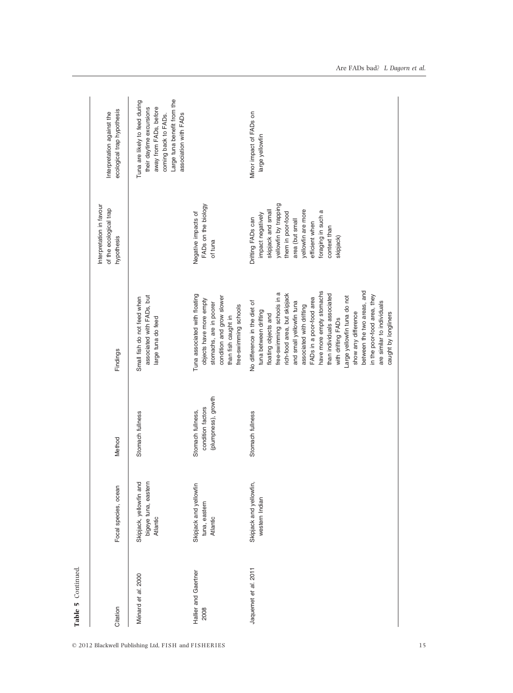| Table 5 Continued.           |                                                             |                                                               |                                                                                                                                                                                                                                                                                                                                                                                                                                                                                           |                                                                                                                                                                                                                          |                                                                                                                                                                      |
|------------------------------|-------------------------------------------------------------|---------------------------------------------------------------|-------------------------------------------------------------------------------------------------------------------------------------------------------------------------------------------------------------------------------------------------------------------------------------------------------------------------------------------------------------------------------------------------------------------------------------------------------------------------------------------|--------------------------------------------------------------------------------------------------------------------------------------------------------------------------------------------------------------------------|----------------------------------------------------------------------------------------------------------------------------------------------------------------------|
| Citation                     | Focal species, ocean                                        | Method                                                        | Findings                                                                                                                                                                                                                                                                                                                                                                                                                                                                                  | Interpretation in favour<br>of the ecological trap<br>hypothesis                                                                                                                                                         | ecological trap hypothesis<br>Interpretation against the                                                                                                             |
| Ménard et al. 2000           | Skipjack, yellowfin and<br>bigeye tuna, eastern<br>Atlantic | Stomach fullness                                              | associated with FADs, but<br>Small fish do not feed when<br>large tuna do feed                                                                                                                                                                                                                                                                                                                                                                                                            |                                                                                                                                                                                                                          | Large tuna benefit from the<br>Tuna are likely to feed during<br>away from FADs, before<br>their daytime excursions<br>association with FADs<br>coming back to FADs. |
| Hallier and Gaertner<br>2008 | Skipjack and yellowfin<br>tuna, eastern<br>Atlantic         | (plumpness), growth<br>condition factors<br>Stomach fullness, | Tuna associated with floating<br>condition and grow slower<br>objects have more empty<br>stomachs, are in poorer<br>free-swimming schools<br>than fish caught in                                                                                                                                                                                                                                                                                                                          | FADs on the biology<br>Negative impacts of<br>of tuna                                                                                                                                                                    |                                                                                                                                                                      |
| Jaquemet et al. 2011         | Skipjack and yellowfin,<br>western Indian                   | Stomach fullness                                              | between the two areas, and<br>have more empty stomachs<br>free-swimming schools in a<br>than individuals associated<br>rich-food area, but skipjack<br>in the poor-food area, they<br>Large yellowfin tuna do not<br>FADs in a poor-food area<br>are similar to individuals<br>No difference in the diet of<br>and small yellowfin tuna<br>associated with drifting<br>tuna between drifting<br>show any difference<br>caught by longliners<br>floating objects and<br>with drifting FADs | yellowfin by trapping<br>yellowfin are more<br>skipjack and small<br>foraging in such a<br>them in poor-food<br>impact negatively<br>Drifting FADs can<br>area (but small<br>efficient when<br>context than<br>skipjack) | Minor impact of FADs on<br>large yellowfin                                                                                                                           |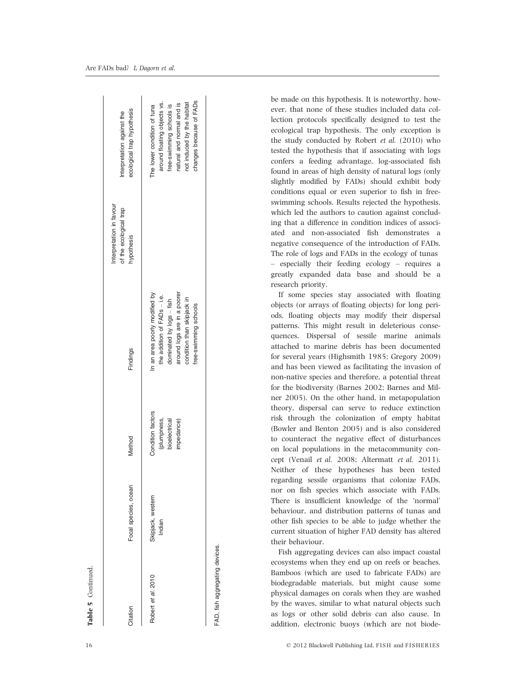| Citation           | Focal species, ocean        | Method                                                          | Findings                                                                                                                                                                       | of the ecological trap<br>hypothesis | ecological trap hypothesis<br>Interpretation against the                                                                                                                     |
|--------------------|-----------------------------|-----------------------------------------------------------------|--------------------------------------------------------------------------------------------------------------------------------------------------------------------------------|--------------------------------------|------------------------------------------------------------------------------------------------------------------------------------------------------------------------------|
| Robert et al. 2010 | Skipjack, western<br>Indian | Condition factors<br>(plumpness,<br>bioelectrical<br>impedance) | In an area poorly modified by<br>around logs are in a poorer<br>the addition of FADs - i.e.<br>condition than skipjack in<br>dominated by logs - fish<br>free-swimming schools |                                      | changes because of FADs<br>around floating objects vs.<br>not induced by the habitat<br>natural and normal and is<br>free-swimming schools is<br>The lower condition of tuna |

be made on this hypothesis. It is noteworthy, however, that none of these studies included data collection protocols specifically designed to test the ecological trap hypothesis. The only exception is the study conducted by Robert et al. (2010) who tested the hypothesis that if associating with logs confers a feeding advantage, log-associated fish found in areas of high density of natural logs (only slightly modified by FADs) should exhibit body conditions equal or even superior to fish in freeswimming schools. Results rejected the hypothesis, which led the authors to caution against concluding that a difference in condition indices of associated and non-associated fish demonstrates a negative consequence of the introduction of FADs. The role of logs and FADs in the ecology of tunas – especially their feeding ecology – requires a greatly expanded data base and should be a research priority.

If some species stay associated with floating objects (or arrays of floating objects) for long periods, floating objects may modify their dispersal patterns. This might result in deleterious consequences. Dispersal of sessile marine animals attached to marine debris has been documented for several years (Highsmith 1985; Gregory 2009) and has been viewed as facilitating the invasion of non-native species and therefore, a potential threat for the biodiversity (Barnes 2002; Barnes and Milner 2005). On the other hand, in metapopulation theory, dispersal can serve to reduce extinction risk through the colonization of empty habitat (Bowler and Benton 2005) and is also considered to counteract the negative effect of disturbances on local populations in the metacommunity concept (Venail et al. 2008; Altermatt et al. 2011). Neither of these hypotheses has been tested regarding sessile organisms that colonize FADs, nor on fish species which associate with FADs. There is insufficient knowledge of the 'normal' behaviour, and distribution patterns of tunas and other fish species to be able to judge whether the current situation of higher FAD density has altered their behaviour.

Fish aggregating devices can also impact coastal ecosystems when they end up on reefs or beaches. Bamboos (which are used to fabricate FADs) are biodegradable materials, but might cause some physical damages on corals when they are washed by the waves, similar to what natural objects such as logs or other solid debris can also cause. In addition, electronic buoys (which are not biode-

Table 5 Continued

Continued.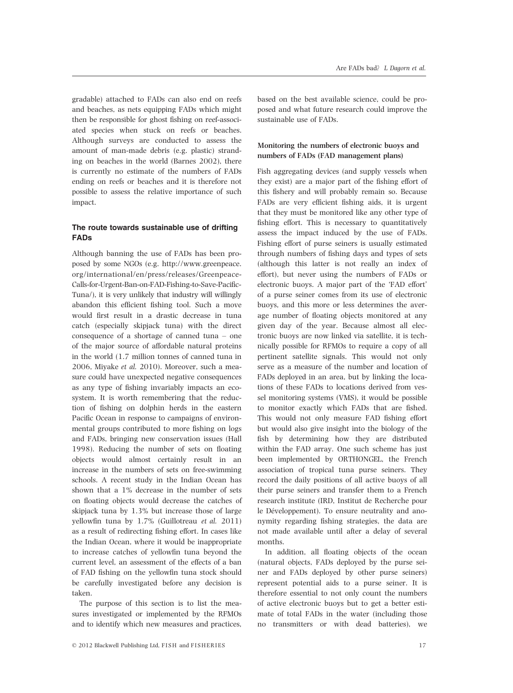gradable) attached to FADs can also end on reefs and beaches, as nets equipping FADs which might then be responsible for ghost fishing on reef-associated species when stuck on reefs or beaches. Although surveys are conducted to assess the amount of man-made debris (e.g. plastic) stranding on beaches in the world (Barnes 2002), there is currently no estimate of the numbers of FADs ending on reefs or beaches and it is therefore not possible to assess the relative importance of such

# The route towards sustainable use of drifting FADs

impact.

Although banning the use of FADs has been proposed by some NGOs (e.g. http://www.greenpeace. org/international/en/press/releases/Greenpeace-Calls-for-Urgent-Ban-on-FAD-Fishing-to-Save-Pacific-Tuna/), it is very unlikely that industry will willingly abandon this efficient fishing tool. Such a move would first result in a drastic decrease in tuna catch (especially skipjack tuna) with the direct consequence of a shortage of canned tuna – one of the major source of affordable natural proteins in the world (1.7 million tonnes of canned tuna in 2006, Miyake et al. 2010). Moreover, such a measure could have unexpected negative consequences as any type of fishing invariably impacts an ecosystem. It is worth remembering that the reduction of fishing on dolphin herds in the eastern Pacific Ocean in response to campaigns of environmental groups contributed to more fishing on logs and FADs, bringing new conservation issues (Hall 1998). Reducing the number of sets on floating objects would almost certainly result in an increase in the numbers of sets on free-swimming schools. A recent study in the Indian Ocean has shown that a 1% decrease in the number of sets on floating objects would decrease the catches of skipjack tuna by 1.3% but increase those of large yellowfin tuna by 1.7% (Guillotreau et al. 2011) as a result of redirecting fishing effort. In cases like the Indian Ocean, where it would be inappropriate to increase catches of yellowfin tuna beyond the current level, an assessment of the effects of a ban of FAD fishing on the yellowfin tuna stock should be carefully investigated before any decision is taken.

The purpose of this section is to list the measures investigated or implemented by the RFMOs and to identify which new measures and practices,

based on the best available science, could be proposed and what future research could improve the sustainable use of FADs.

# Monitoring the numbers of electronic buoys and numbers of FADs (FAD management plans)

Fish aggregating devices (and supply vessels when they exist) are a major part of the fishing effort of this fishery and will probably remain so. Because FADs are very efficient fishing aids, it is urgent that they must be monitored like any other type of fishing effort. This is necessary to quantitatively assess the impact induced by the use of FADs. Fishing effort of purse seiners is usually estimated through numbers of fishing days and types of sets (although this latter is not really an index of effort), but never using the numbers of FADs or electronic buoys. A major part of the 'FAD effort' of a purse seiner comes from its use of electronic buoys, and this more or less determines the average number of floating objects monitored at any given day of the year. Because almost all electronic buoys are now linked via satellite, it is technically possible for RFMOs to require a copy of all pertinent satellite signals. This would not only serve as a measure of the number and location of FADs deployed in an area, but by linking the locations of these FADs to locations derived from vessel monitoring systems (VMS), it would be possible to monitor exactly which FADs that are fished. This would not only measure FAD fishing effort but would also give insight into the biology of the fish by determining how they are distributed within the FAD array. One such scheme has just been implemented by ORTHONGEL, the French association of tropical tuna purse seiners. They record the daily positions of all active buoys of all their purse seiners and transfer them to a French research institute (IRD, Institut de Recherche pour le Développement). To ensure neutrality and anonymity regarding fishing strategies, the data are not made available until after a delay of several months.

In addition, all floating objects of the ocean (natural objects, FADs deployed by the purse seiner and FADs deployed by other purse seiners) represent potential aids to a purse seiner. It is therefore essential to not only count the numbers of active electronic buoys but to get a better estimate of total FADs in the water (including those no transmitters or with dead batteries), we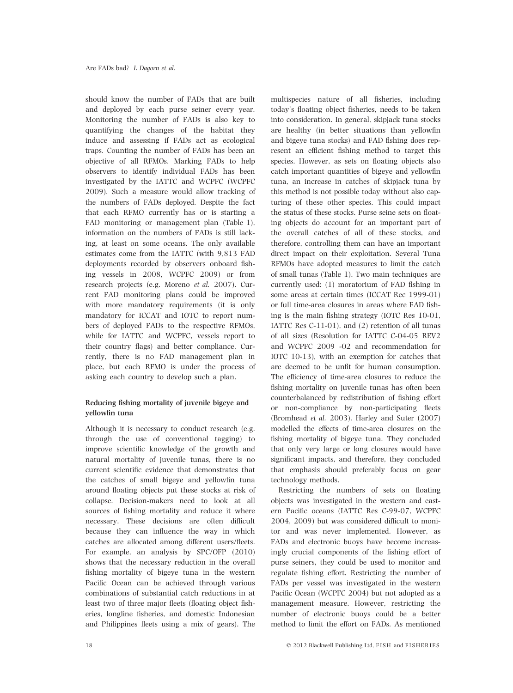should know the number of FADs that are built and deployed by each purse seiner every year. Monitoring the number of FADs is also key to quantifying the changes of the habitat they induce and assessing if FADs act as ecological traps. Counting the number of FADs has been an objective of all RFMOs. Marking FADs to help observers to identify individual FADs has been investigated by the IATTC and WCPFC (WCPFC 2009). Such a measure would allow tracking of the numbers of FADs deployed. Despite the fact that each RFMO currently has or is starting a FAD monitoring or management plan (Table 1), information on the numbers of FADs is still lacking, at least on some oceans. The only available estimates come from the IATTC (with 9,813 FAD deployments recorded by observers onboard fishing vessels in 2008, WCPFC 2009) or from research projects (e.g. Moreno et al. 2007). Current FAD monitoring plans could be improved with more mandatory requirements (it is only mandatory for ICCAT and IOTC to report numbers of deployed FADs to the respective RFMOs, while for IATTC and WCPFC, vessels report to their country flags) and better compliance. Currently, there is no FAD management plan in place, but each RFMO is under the process of asking each country to develop such a plan.

# Reducing fishing mortality of juvenile bigeye and yellowfin tuna

Although it is necessary to conduct research (e.g. through the use of conventional tagging) to improve scientific knowledge of the growth and natural mortality of juvenile tunas, there is no current scientific evidence that demonstrates that the catches of small bigeye and yellowfin tuna around floating objects put these stocks at risk of collapse. Decision-makers need to look at all sources of fishing mortality and reduce it where necessary. These decisions are often difficult because they can influence the way in which catches are allocated among different users/fleets. For example, an analysis by SPC/OFP (2010) shows that the necessary reduction in the overall fishing mortality of bigeye tuna in the western Pacific Ocean can be achieved through various combinations of substantial catch reductions in at least two of three major fleets (floating object fisheries, longline fisheries, and domestic Indonesian and Philippines fleets using a mix of gears). The multispecies nature of all fisheries, including today's floating object fisheries, needs to be taken into consideration. In general, skipjack tuna stocks are healthy (in better situations than yellowfin and bigeye tuna stocks) and FAD fishing does represent an efficient fishing method to target this species. However, as sets on floating objects also catch important quantities of bigeye and yellowfin tuna, an increase in catches of skipjack tuna by this method is not possible today without also capturing of these other species. This could impact the status of these stocks. Purse seine sets on floating objects do account for an important part of the overall catches of all of these stocks, and therefore, controlling them can have an important direct impact on their exploitation. Several Tuna RFMOs have adopted measures to limit the catch of small tunas (Table 1). Two main techniques are currently used: (1) moratorium of FAD fishing in some areas at certain times (ICCAT Rec 1999-01) or full time-area closures in areas where FAD fishing is the main fishing strategy (IOTC Res 10-01, IATTC Res C-11-01), and (2) retention of all tunas of all sizes (Resolution for IATTC C-04-05 REV2 and WCPFC 2009 -02 and recommendation for IOTC 10-13), with an exemption for catches that are deemed to be unfit for human consumption. The efficiency of time-area closures to reduce the fishing mortality on juvenile tunas has often been counterbalanced by redistribution of fishing effort or non-compliance by non-participating fleets (Bromhead et al. 2003). Harley and Suter (2007) modelled the effects of time-area closures on the fishing mortality of bigeye tuna. They concluded that only very large or long closures would have significant impacts, and therefore, they concluded that emphasis should preferably focus on gear technology methods.

Restricting the numbers of sets on floating objects was investigated in the western and eastern Pacific oceans (IATTC Res C-99-07, WCPFC 2004, 2009) but was considered difficult to monitor and was never implemented. However, as FADs and electronic buoys have become increasingly crucial components of the fishing effort of purse seiners, they could be used to monitor and regulate fishing effort. Restricting the number of FADs per vessel was investigated in the western Pacific Ocean (WCPFC 2004) but not adopted as a management measure. However, restricting the number of electronic buoys could be a better method to limit the effort on FADs. As mentioned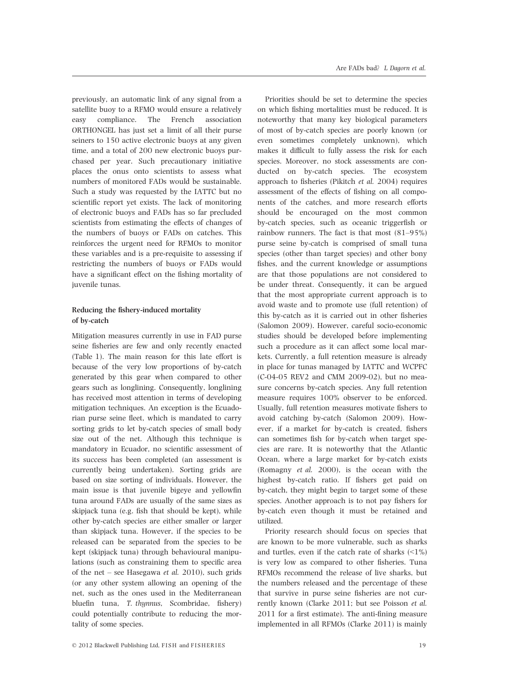previously, an automatic link of any signal from a satellite buoy to a RFMO would ensure a relatively easy compliance. The French association ORTHONGEL has just set a limit of all their purse seiners to 150 active electronic buoys at any given time, and a total of 200 new electronic buoys purchased per year. Such precautionary initiative places the onus onto scientists to assess what numbers of monitored FADs would be sustainable. Such a study was requested by the IATTC but no scientific report yet exists. The lack of monitoring of electronic buoys and FADs has so far precluded scientists from estimating the effects of changes of the numbers of buoys or FADs on catches. This reinforces the urgent need for RFMOs to monitor these variables and is a pre-requisite to assessing if restricting the numbers of buoys or FADs would have a significant effect on the fishing mortality of juvenile tunas.

# Reducing the fishery-induced mortality of by-catch

Mitigation measures currently in use in FAD purse seine fisheries are few and only recently enacted (Table 1). The main reason for this late effort is because of the very low proportions of by-catch generated by this gear when compared to other gears such as longlining. Consequently, longlining has received most attention in terms of developing mitigation techniques. An exception is the Ecuadorian purse seine fleet, which is mandated to carry sorting grids to let by-catch species of small body size out of the net. Although this technique is mandatory in Ecuador, no scientific assessment of its success has been completed (an assessment is currently being undertaken). Sorting grids are based on size sorting of individuals. However, the main issue is that juvenile bigeye and yellowfin tuna around FADs are usually of the same sizes as skipjack tuna (e.g. fish that should be kept), while other by-catch species are either smaller or larger than skipjack tuna. However, if the species to be released can be separated from the species to be kept (skipjack tuna) through behavioural manipulations (such as constraining them to specific area of the net – see Hasegawa et al.  $2010$ ), such grids (or any other system allowing an opening of the net, such as the ones used in the Mediterranean bluefin tuna, T. thynnus, Scombridae, fishery) could potentially contribute to reducing the mortality of some species.

Priorities should be set to determine the species on which fishing mortalities must be reduced. It is noteworthy that many key biological parameters of most of by-catch species are poorly known (or even sometimes completely unknown), which makes it difficult to fully assess the risk for each species. Moreover, no stock assessments are conducted on by-catch species. The ecosystem approach to fisheries (Pikitch et al. 2004) requires assessment of the effects of fishing on all components of the catches, and more research efforts should be encouraged on the most common by-catch species, such as oceanic triggerfish or rainbow runners. The fact is that most (81–95%) purse seine by-catch is comprised of small tuna species (other than target species) and other bony fishes, and the current knowledge or assumptions are that those populations are not considered to be under threat. Consequently, it can be argued that the most appropriate current approach is to avoid waste and to promote use (full retention) of this by-catch as it is carried out in other fisheries (Salomon 2009). However, careful socio-economic studies should be developed before implementing such a procedure as it can affect some local markets. Currently, a full retention measure is already in place for tunas managed by IATTC and WCPFC (C-04-05 REV2 and CMM 2009-02), but no measure concerns by-catch species. Any full retention measure requires 100% observer to be enforced. Usually, full retention measures motivate fishers to avoid catching by-catch (Salomon 2009). However, if a market for by-catch is created, fishers can sometimes fish for by-catch when target species are rare. It is noteworthy that the Atlantic Ocean, where a large market for by-catch exists (Romagny et al. 2000), is the ocean with the highest by-catch ratio. If fishers get paid on by-catch, they might begin to target some of these species. Another approach is to not pay fishers for by-catch even though it must be retained and utilized.

Priority research should focus on species that are known to be more vulnerable, such as sharks and turtles, even if the catch rate of sharks  $(21\%)$ is very low as compared to other fisheries. Tuna RFMOs recommend the release of live sharks, but the numbers released and the percentage of these that survive in purse seine fisheries are not currently known (Clarke 2011; but see Poisson et al. 2011 for a first estimate). The anti-fining measure implemented in all RFMOs (Clarke 2011) is mainly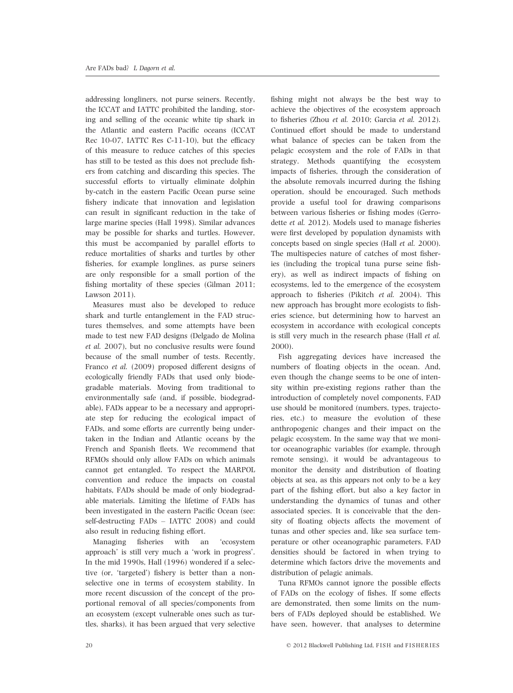addressing longliners, not purse seiners. Recently, the ICCAT and IATTC prohibited the landing, storing and selling of the oceanic white tip shark in the Atlantic and eastern Pacific oceans (ICCAT Rec 10-07, IATTC Res C-11-10), but the efficacy of this measure to reduce catches of this species has still to be tested as this does not preclude fishers from catching and discarding this species. The successful efforts to virtually eliminate dolphin by-catch in the eastern Pacific Ocean purse seine fishery indicate that innovation and legislation can result in significant reduction in the take of large marine species (Hall 1998). Similar advances may be possible for sharks and turtles. However, this must be accompanied by parallel efforts to reduce mortalities of sharks and turtles by other fisheries, for example longlines, as purse seiners are only responsible for a small portion of the fishing mortality of these species (Gilman 2011; Lawson 2011).

Measures must also be developed to reduce shark and turtle entanglement in the FAD structures themselves, and some attempts have been made to test new FAD designs (Delgado de Molina et al. 2007), but no conclusive results were found because of the small number of tests. Recently, Franco et al. (2009) proposed different designs of ecologically friendly FADs that used only biodegradable materials. Moving from traditional to environmentally safe (and, if possible, biodegradable), FADs appear to be a necessary and appropriate step for reducing the ecological impact of FADs, and some efforts are currently being undertaken in the Indian and Atlantic oceans by the French and Spanish fleets. We recommend that RFMOs should only allow FADs on which animals cannot get entangled. To respect the MARPOL convention and reduce the impacts on coastal habitats, FADs should be made of only biodegradable materials. Limiting the lifetime of FADs has been investigated in the eastern Pacific Ocean (see: self-destructing FADs – IATTC 2008) and could also result in reducing fishing effort.

Managing fisheries with an 'ecosystem approach' is still very much a 'work in progress'. In the mid 1990s, Hall (1996) wondered if a selective (or, 'targeted') fishery is better than a nonselective one in terms of ecosystem stability. In more recent discussion of the concept of the proportional removal of all species/components from an ecosystem (except vulnerable ones such as turtles, sharks), it has been argued that very selective

fishing might not always be the best way to achieve the objectives of the ecosystem approach to fisheries (Zhou et al. 2010; Garcia et al. 2012). Continued effort should be made to understand what balance of species can be taken from the pelagic ecosystem and the role of FADs in that strategy. Methods quantifying the ecosystem impacts of fisheries, through the consideration of the absolute removals incurred during the fishing operation, should be encouraged. Such methods provide a useful tool for drawing comparisons between various fisheries or fishing modes (Gerrodette et al. 2012). Models used to manage fisheries were first developed by population dynamists with concepts based on single species (Hall et al. 2000). The multispecies nature of catches of most fisheries (including the tropical tuna purse seine fishery), as well as indirect impacts of fishing on ecosystems, led to the emergence of the ecosystem approach to fisheries (Pikitch et al. 2004). This new approach has brought more ecologists to fisheries science, but determining how to harvest an ecosystem in accordance with ecological concepts is still very much in the research phase (Hall et al. 2000).

Fish aggregating devices have increased the numbers of floating objects in the ocean. And, even though the change seems to be one of intensity within pre-existing regions rather than the introduction of completely novel components, FAD use should be monitored (numbers, types, trajectories, etc.) to measure the evolution of these anthropogenic changes and their impact on the pelagic ecosystem. In the same way that we monitor oceanographic variables (for example, through remote sensing), it would be advantageous to monitor the density and distribution of floating objects at sea, as this appears not only to be a key part of the fishing effort, but also a key factor in understanding the dynamics of tunas and other associated species. It is conceivable that the density of floating objects affects the movement of tunas and other species and, like sea surface temperature or other oceanographic parameters, FAD densities should be factored in when trying to determine which factors drive the movements and distribution of pelagic animals.

Tuna RFMOs cannot ignore the possible effects of FADs on the ecology of fishes. If some effects are demonstrated, then some limits on the numbers of FADs deployed should be established. We have seen, however, that analyses to determine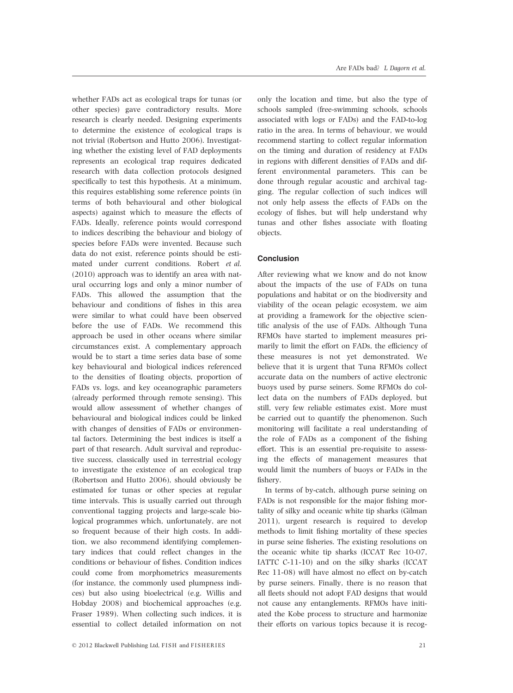whether FADs act as ecological traps for tunas (or other species) gave contradictory results. More research is clearly needed. Designing experiments to determine the existence of ecological traps is not trivial (Robertson and Hutto 2006). Investigating whether the existing level of FAD deployments represents an ecological trap requires dedicated research with data collection protocols designed specifically to test this hypothesis. At a minimum, this requires establishing some reference points (in terms of both behavioural and other biological aspects) against which to measure the effects of FADs. Ideally, reference points would correspond to indices describing the behaviour and biology of species before FADs were invented. Because such data do not exist, reference points should be estimated under current conditions. Robert et al. (2010) approach was to identify an area with natural occurring logs and only a minor number of FADs. This allowed the assumption that the behaviour and conditions of fishes in this area were similar to what could have been observed before the use of FADs. We recommend this approach be used in other oceans where similar circumstances exist. A complementary approach would be to start a time series data base of some key behavioural and biological indices referenced to the densities of floating objects, proportion of FADs vs. logs, and key oceanographic parameters (already performed through remote sensing). This would allow assessment of whether changes of behavioural and biological indices could be linked with changes of densities of FADs or environmental factors. Determining the best indices is itself a part of that research. Adult survival and reproductive success, classically used in terrestrial ecology to investigate the existence of an ecological trap (Robertson and Hutto 2006), should obviously be estimated for tunas or other species at regular time intervals. This is usually carried out through conventional tagging projects and large-scale biological programmes which, unfortunately, are not so frequent because of their high costs. In addition, we also recommend identifying complementary indices that could reflect changes in the conditions or behaviour of fishes. Condition indices could come from morphometrics measurements (for instance, the commonly used plumpness indices) but also using bioelectrical (e.g. Willis and Hobday 2008) and biochemical approaches (e.g. Fraser 1989). When collecting such indices, it is essential to collect detailed information on not

only the location and time, but also the type of schools sampled (free-swimming schools, schools associated with logs or FADs) and the FAD-to-log ratio in the area. In terms of behaviour, we would recommend starting to collect regular information on the timing and duration of residency at FADs in regions with different densities of FADs and different environmental parameters. This can be done through regular acoustic and archival tagging. The regular collection of such indices will not only help assess the effects of FADs on the ecology of fishes, but will help understand why tunas and other fishes associate with floating objects.

# Conclusion

After reviewing what we know and do not know about the impacts of the use of FADs on tuna populations and habitat or on the biodiversity and viability of the ocean pelagic ecosystem, we aim at providing a framework for the objective scientific analysis of the use of FADs. Although Tuna RFMOs have started to implement measures primarily to limit the effort on FADs, the efficiency of these measures is not yet demonstrated. We believe that it is urgent that Tuna RFMOs collect accurate data on the numbers of active electronic buoys used by purse seiners. Some RFMOs do collect data on the numbers of FADs deployed, but still, very few reliable estimates exist. More must be carried out to quantify the phenomenon. Such monitoring will facilitate a real understanding of the role of FADs as a component of the fishing effort. This is an essential pre-requisite to assessing the effects of management measures that would limit the numbers of buoys or FADs in the fishery.

In terms of by-catch, although purse seining on FADs is not responsible for the major fishing mortality of silky and oceanic white tip sharks (Gilman 2011), urgent research is required to develop methods to limit fishing mortality of these species in purse seine fisheries. The existing resolutions on the oceanic white tip sharks (ICCAT Rec 10-07, IATTC C-11-10) and on the silky sharks (ICCAT Rec 11-08) will have almost no effect on by-catch by purse seiners. Finally, there is no reason that all fleets should not adopt FAD designs that would not cause any entanglements. RFMOs have initiated the Kobe process to structure and harmonize their efforts on various topics because it is recog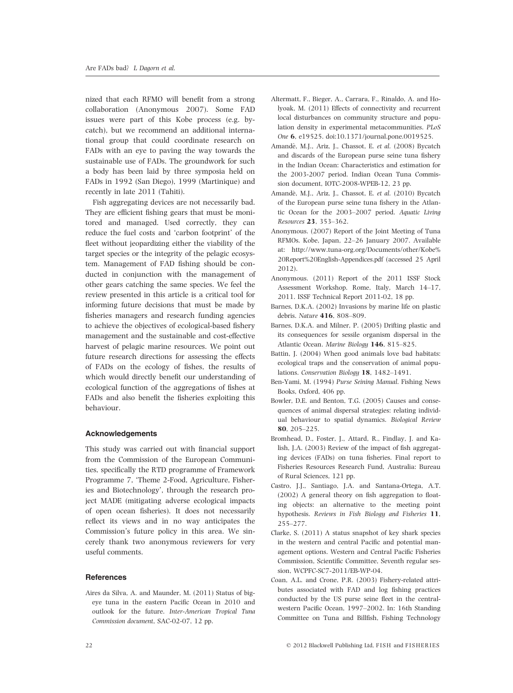nized that each RFMO will benefit from a strong collaboration (Anonymous 2007). Some FAD issues were part of this Kobe process (e.g. bycatch), but we recommend an additional international group that could coordinate research on FADs with an eye to paving the way towards the sustainable use of FADs. The groundwork for such a body has been laid by three symposia held on FADs in 1992 (San Diego), 1999 (Martinique) and recently in late 2011 (Tahiti).

Fish aggregating devices are not necessarily bad. They are efficient fishing gears that must be monitored and managed. Used correctly, they can reduce the fuel costs and 'carbon footprint' of the fleet without jeopardizing either the viability of the target species or the integrity of the pelagic ecosystem. Management of FAD fishing should be conducted in conjunction with the management of other gears catching the same species. We feel the review presented in this article is a critical tool for informing future decisions that must be made by fisheries managers and research funding agencies to achieve the objectives of ecological-based fishery management and the sustainable and cost-effective harvest of pelagic marine resources. We point out future research directions for assessing the effects of FADs on the ecology of fishes, the results of which would directly benefit our understanding of ecological function of the aggregations of fishes at FADs and also benefit the fisheries exploiting this behaviour.

# Acknowledgements

This study was carried out with financial support from the Commission of the European Communities, specifically the RTD programme of Framework Programme 7, 'Theme 2-Food, Agriculture, Fisheries and Biotechnology', through the research project MADE (mitigating adverse ecological impacts of open ocean fisheries). It does not necessarily reflect its views and in no way anticipates the Commission's future policy in this area. We sincerely thank two anonymous reviewers for very useful comments.

# **References**

Aires da Silva, A. and Maunder, M. (2011) Status of bigeye tuna in the eastern Pacific Ocean in 2010 and outlook for the future. Inter-American Tropical Tuna Commission document, SAC-02-07, 12 pp.

- Altermatt, F., Bieger, A., Carrara, F., Rinaldo, A. and Holyoak, M. (2011) Effects of connectivity and recurrent local disturbances on community structure and population density in experimental metacommunities. PLoS One 6, e19525. doi:10.1371/journal.pone.0019525.
- Amandè, M.J., Ariz, J., Chassot, E. et al. (2008) Bycatch and discards of the European purse seine tuna fishery in the Indian Ocean: Characteristics and estimation for the 2003-2007 period. Indian Ocean Tuna Commission document, IOTC-2008-WPEB-12, 23 pp.
- Amandè, M.J., Ariz, J., Chassot, E. et al. (2010) Bycatch of the European purse seine tuna fishery in the Atlantic Ocean for the 2003–2007 period. Aquatic Living Resources 23, 353–362.
- Anonymous. (2007) Report of the Joint Meeting of Tuna RFMOs. Kobe, Japan, 22–26 January 2007. Available at: http://www.tuna-org.org/Documents/other/Kobe% 20Report%20English-Appendices.pdf (accessed 25 April 2012).
- Anonymous. (2011) Report of the 2011 ISSF Stock Assessment Workshop. Rome, Italy, March 14–17, 2011. ISSF Technical Report 2011-02, 18 pp.
- Barnes, D.K.A. (2002) Invasions by marine life on plastic debris. Nature 416, 808–809.
- Barnes, D.K.A. and Milner, P. (2005) Drifting plastic and its consequences for sessile organism dispersal in the Atlantic Ocean. Marine Biology 146, 815–825.
- Battin, J. (2004) When good animals love bad habitats: ecological traps and the conservation of animal populations. Conservation Biology 18, 1482–1491.
- Ben-Yami, M. (1994) Purse Seining Manual. Fishing News Books, Oxford, 406 pp.
- Bowler, D.E. and Benton, T.G. (2005) Causes and consequences of animal dispersal strategies: relating individual behaviour to spatial dynamics. Biological Review 80, 205–225.
- Bromhead, D., Foster, J., Attard, R., Findlay, J. and Kalish, J.A. (2003) Review of the impact of fish aggregating devices (FADs) on tuna fisheries. Final report to Fisheries Resources Research Fund, Australia: Bureau of Rural Sciences, 121 pp.
- Castro, J.J., Santiago, J.A. and Santana-Ortega, A.T. (2002) A general theory on fish aggregation to floating objects: an alternative to the meeting point hypothesis. Reviews in Fish Biology and Fisheries 11, 255–277.
- Clarke, S. (2011) A status snapshot of key shark species in the western and central Pacific and potential management options. Western and Central Pacific Fisheries Commission, Scientific Committee, Seventh regular session, WCPFC-SC7-2011/EB-WP-04.
- Coan, A.L. and Crone, P.R. (2003) Fishery-related attributes associated with FAD and log fishing practices conducted by the US purse seine fleet in the centralwestern Pacific Ocean, 1997–2002. In: 16th Standing Committee on Tuna and Billfish, Fishing Technology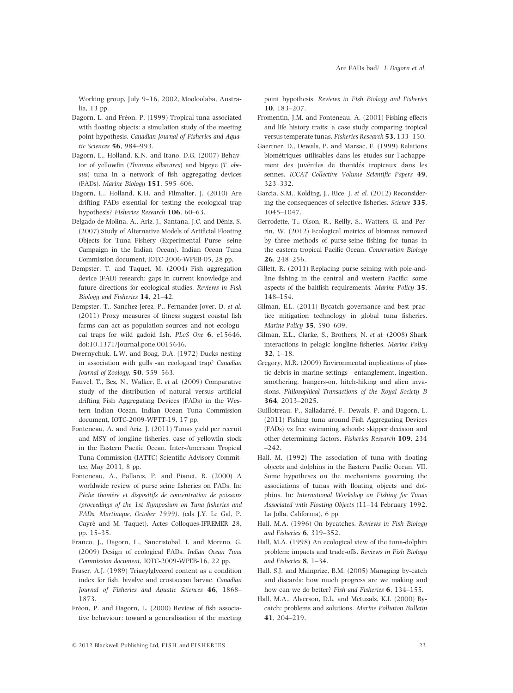Working group, July 9–16, 2002, Mooloolaba, Australia, 13 pp.

- Dagorn, L. and Fréon, P. (1999) Tropical tuna associated with floating objects: a simulation study of the meeting point hypothesis. Canadian Journal of Fisheries and Aquatic Sciences 56, 984–993.
- Dagorn, L., Holland, K.N. and Itano, D.G. (2007) Behavior of yellowfin (Thunnus albacares) and bigeye (T. obesus) tuna in a network of fish aggregating devices (FADs). Marine Biology 151, 595–606.
- Dagorn, L., Holland, K.H. and Filmalter, J. (2010) Are drifting FADs essential for testing the ecological trap hypothesis? Fisheries Research 106, 60–63.
- Delgado de Molina, A., Ariz, J., Santana, J.C. and Déniz, S. (2007) Study of Alternative Models of Artificial Floating Objects for Tuna Fishery (Experimental Purse- seine Campaign in the Indian Ocean). Indian Ocean Tuna Commission document, IOTC-2006-WPEB-05, 28 pp.
- Dempster, T. and Taquet, M. (2004) Fish aggregation device (FAD) research: gaps in current knowledge and future directions for ecological studies. Reviews in Fish Biology and Fisheries 14, 21–42.
- Dempster, T., Sanchez-Jerez, P., Fernandez-Jover, D. et al. (2011) Proxy measures of fitness suggest coastal fish farms can act as population sources and not ecologucal traps for wild gadoid fish. PLoS One 6, e15646. doi:10.1371/Journal.pone.0015646.
- Dwernychuk, L.W. and Boag, D.A. (1972) Ducks nesting in association with gulls -an ecological trap? Canadian Journal of Zoology, 50, 559–563.
- Fauvel, T., Bez, N., Walker, E. et al. (2009) Comparative study of the distribution of natural versus artificial drifting Fish Aggregating Devices (FADs) in the Western Indian Ocean. Indian Ocean Tuna Commission document, IOTC-2009-WPTT-19, 17 pp.
- Fonteneau, A. and Ariz, J. (2011) Tunas yield per recruit and MSY of longline fisheries, case of yellowfin stock in the Eastern Pacific Ocean. Inter-American Tropical Tuna Commission (IATTC) Scientific Advisory Committee, May 2011, 8 pp.
- Fonteneau, A., Pallares, P. and Pianet, R. (2000) A worldwide review of purse seine fisheries on FADs. In: Pêche thonière et dispositifs de concentration de poissons (proceedings of the 1st Symposium on Tuna fisheries and FADs, Martinique, October 1999). (eds J.Y. Le Gal, P. Cayré and M. Taquet). Actes Colloques-IFREMER 28, pp. 15–35.
- Franco, J., Dagorn, L., Sancristobal, I. and Moreno, G. (2009) Design of ecological FADs. Indian Ocean Tuna Commission document, IOTC-2009-WPEB-16, 22 pp.
- Fraser, A.J. (1989) Triacylglycerol content as a condition index for fish, bivalve and crustacean larvae. Canadian Journal of Fisheries and Aquatic Sciences 46, 1868– 1873.
- Fréon, P. and Dagorn, L. (2000) Review of fish associative behaviour: toward a generalisation of the meeting

point hypothesis. Reviews in Fish Biology and Fisheries 10, 183–207.

- Fromentin, J.M. and Fonteneau, A. (2001) Fishing effects and life history traits: a case study comparing tropical versus temperate tunas. Fisheries Research 53, 133–150.
- Gaertner, D., Dewals, P. and Marsac, F. (1999) Relations biométriques utilisables dans les études sur l'achappement des juvéniles de thonidés tropicaux dans les sennes. ICCAT Collective Volume Scientific Papers 49, 323–332.
- Garcia, S.M., Kolding, J., Rice, J. et al. (2012) Reconsidering the consequences of selective fisheries. Science 335, 1045–1047.
- Gerrodette, T., Olson, R., Reilly, S., Watters, G. and Perrin, W. (2012) Ecological metrics of biomass removed by three methods of purse-seine fishing for tunas in the eastern tropical Pacific Ocean. Conservation Biology 26, 248–256.
- Gillett, R. (2011) Replacing purse seining with pole-andline fishing in the central and western Pacific: some aspects of the baitfish requirements. Marine Policy 35, 148–154.
- Gilman, E.L. (2011) Bycatch governance and best practice mitigation technology in global tuna fisheries. Marine Policy 35, 590–609.
- Gilman, E.L., Clarke, S., Brothers, N. et al. (2008) Shark interactions in pelagic longline fisheries. Marine Policy 32, 1–18.
- Gregory, M.R. (2009) Environmental implications of plastic debris in marine settings—entanglement, ingestion, smothering, hangers-on, hitch-hiking and alien invasions. Philosophical Transactions of the Royal Society B 364, 2013–2025.
- Guillotreau, P., Salladarré, F., Dewals, P. and Dagorn, L. (2011) Fishing tuna around Fish Aggregating Devices (FADs) vs free swimming schools: skipper decision and other determining factors. Fisheries Research 109, 234 –242.
- Hall, M. (1992) The association of tuna with floating objects and dolphins in the Eastern Pacific Ocean. VII. Some hypotheses on the mechanisms governing the associations of tunas with floating objects and dolphins. In: International Workshop on Fishing for Tunas Associated with Floating Objects (11–14 February 1992. La Jolla, California), 6 pp.
- Hall, M.A. (1996) On bycatches. Reviews in Fish Biology and Fisheries 6, 319–352.
- Hall, M.A. (1998) An ecological view of the tuna-dolphin problem: impacts and trade-offs. Reviews in Fish Biology and Fisheries 8, 1–34.
- Hall, S.J. and Mainprize, B.M. (2005) Managing by-catch and discards: how much progress are we making and how can we do better? Fish and Fisheries 6, 134-155.
- Hall, M.A., Alverson, D.L. and Metuzals, K.I. (2000) Bycatch: problems and solutions. Marine Pollution Bulletin 41, 204–219.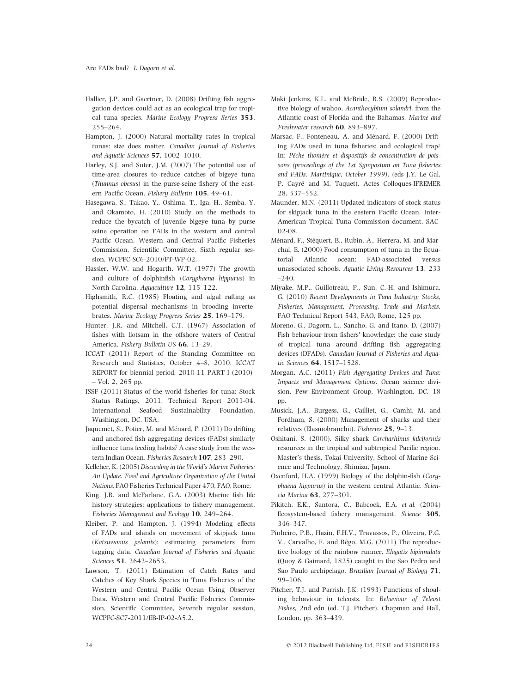- Hallier, J.P. and Gaertner, D. (2008) Drifting fish aggregation devices could act as an ecological trap for tropical tuna species. Marine Ecology Progress Series 353, 255–264.
- Hampton, J. (2000) Natural mortality rates in tropical tunas: size does matter. Canadian Journal of Fisheries and Aquatic Sciences 57, 1002–1010.
- Harley, S.J. and Suter, J.M. (2007) The potential use of time-area closures to reduce catches of bigeye tuna (Thunnus obesus) in the purse-seine fishery of the eastern Pacific Ocean. Fishery Bulletin 105, 49–61.
- Hasegawa, S., Takao, Y., Oshima, T., Iga, H., Semba, Y. and Okamoto, H. (2010) Study on the methods to reduce the bycatch of juvenile bigeye tuna by purse seine operation on FADs in the western and central Pacific Ocean. Western and Central Pacific Fisheries Commission, Scientific Committee, Sixth regular session, WCPFC-SC6-2010/FT-WP-02.
- Hassler, W.W. and Hogarth, W.T. (1977) The growth and culture of dolphinfish (Coryphaena hippurus) in North Carolina. Aquaculture 12, 115–122.
- Highsmith, R.C. (1985) Floating and algal rafting as potential dispersal mechanisms in brooding invertebrates. Marine Ecology Progress Series 25, 169–179.
- Hunter, J.R. and Mitchell, C.T. (1967) Association of fishes with flotsam in the offshore waters of Central America. Fishery Bulletin US 66, 13–29.
- ICCAT (2011) Report of the Standing Committee on Research and Statistics, October 4–8, 2010. ICCAT REPORT for biennial period, 2010-11 PART I (2010) – Vol. 2, 265 pp.
- ISSF (2011) Status of the world fisheries for tuna: Stock Status Ratings, 2011. Technical Report 2011-04, International Seafood Sustainability Foundation. Washington, DC, USA.
- Jaquemet, S., Potier, M. and Ménard, F. (2011) Do drifting and anchored fish aggregating devices (FADs) similarly influence tuna feeding habits? A case study from the western Indian Ocean. Fisheries Research 107, 283–290.
- Kelleher, K. (2005) Discarding in the World's Marine Fisheries: An Update. Food and Agriculture Organization of the United Nations. FAO Fisheries Technical Paper 470, FAO, Rome.
- King, J.R. and McFarlane, G.A. (2003) Marine fish life history strategies: applications to fishery management. Fisheries Management and Ecology 10, 249–264.
- Kleiber, P. and Hampton, J. (1994) Modeling effects of FADs and islands on movement of skipjack tuna (Katsuwonus pelamis): estimating parameters from tagging data. Canadian Journal of Fisheries and Aquatic Sciences 51, 2642–2653.
- Lawson, T. (2011) Estimation of Catch Rates and Catches of Key Shark Species in Tuna Fisheries of the Western and Central Pacific Ocean Using Observer Data. Western and Central Pacific Fisheries Commission, Scientific Committee, Seventh regular session, WCPFC-SC7-2011/EB-IP-02-A5.2.
- Maki Jenkins, K.L. and McBride, R.S. (2009) Reproductive biology of wahoo, Acanthocybium solandri, from the Atlantic coast of Florida and the Bahamas. Marine and Freshwater research 60, 893–897.
- Marsac, F., Fonteneau, A. and Ménard, F. (2000) Drifting FADs used in tuna fisheries: and ecological trap? In: Pêche thonière et dispositifs de concentration de poissons (proceedings of the 1st Symposium on Tuna fisheries and FADs, Martinique, October 1999). (eds J.Y. Le Gal, P. Cayré and M. Taquet). Actes Colloques-IFREMER 28, 537–552.
- Maunder, M.N. (2011) Updated indicators of stock status for skipjack tuna in the eastern Pacific Ocean. Inter-American Tropical Tuna Commission document, SAC-02-08.
- Ménard, F., Stéquert, B., Rubin, A., Herrera, M. and Marchal, E. (2000) Food consumption of tuna in the Equatorial Atlantic ocean: FAD-associated versus unassociated schools. Aquatic Living Resources 13, 233  $-240.$
- Miyake, M.P., Guillotreau, P., Sun, C.-H. and Ishimura, G. (2010) Recent Developments in Tuna Industry: Stocks, Fisheries, Management, Processing, Trade and Markets. FAO Technical Report 543, FAO, Rome, 125 pp.
- Moreno, G., Dagorn, L., Sancho, G. and Itano, D. (2007) Fish behaviour from fishers′ knowledge: the case study of tropical tuna around drifting fish aggregating devices (DFADs). Canadian Journal of Fisheries and Aquatic Sciences 64, 1517–1528.
- Morgan, A.C. (2011) Fish Aggregating Devices and Tuna: Impacts and Management Options. Ocean science division, Pew Environment Group, Washington, DC, 18 pp.
- Musick, J.A., Burgess, G., Cailliet, G., Camhi, M. and Fordham, S. (2000) Management of sharks and their relatives (Elasmobranchii). Fisheries 25, 9–13.
- Oshitani, S. (2000). Silky shark Carcharhinus falciformis resources in the tropical and subtropical Pacific region. Master's thesis, Tokai University, School of Marine Science and Technology, Shimizu, Japan.
- Oxenford, H.A. (1999) Biology of the dolphin-fish (Coryphaena hippurus) in the western central Atlantic. Sciencia Marina 63, 277–301.
- Pikitch, E.K., Santora, C., Babcock, E.A. et al. (2004) Ecosystem-based fishery management. Science 305, 346–347.
- Pinheiro, P.B., Hazin, F.H.V., Travassos, P., Oliveira, P.G. V., Carvalho, F. and Rêgo, M.G. (2011) The reproductive biology of the rainbow runner, Elagatis bipinnulata (Quoy & Gaimard, 1825) caught in the Sao Pedro and Sao Paulo archipelago. Brazilian Journal of Biology 71, 99–106.
- Pitcher, T.J. and Parrish, J.K. (1993) Functions of shoaling behaviour in teleosts. In: Behaviour of Teleost Fishes, 2nd edn (ed. T.J. Pitcher). Chapman and Hall, London, pp. 363–439.